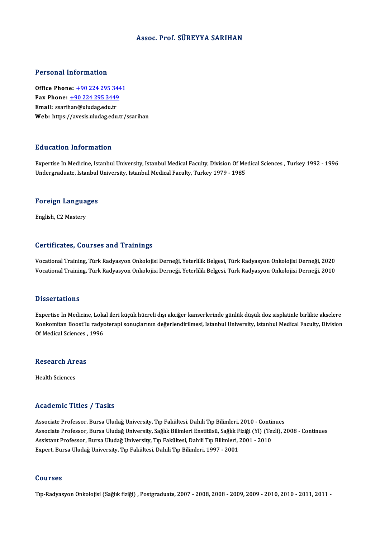#### Assoc. Prof. SÜREYYA SARIHAN

#### Personal Information

Personal Information<br>Office Phone: <u>+90 224 295 3441</u><br>Fax Phone: 190 224 295 2449 1 0100111 11101 1111011<br>Office Phone: <u>+90 224 295 3449</u><br>Fmail: ssarihan@uludas.edu.tr Office Phone: <u>+90 224 295 34</u><br>Fax Phone: <u>+90 224 295 3449</u><br>Email: ssari[han@uludag.edu.tr](tel:+90 224 295 3449)<br>Web: https://avesis.uludag.edu.tr Fax Phone:  $\pm$ 90 224 295 3449<br>Email: ssarihan@uludag.edu.tr<br>Web: https://avesis.uludag.edu.tr/ssarihan

#### Education Information

Education Information<br>Expertise In Medicine, Istanbul University, Istanbul Medical Faculty, Division Of Medical Sciences , Turkey 1992 - 1996<br>Undergraduate Jetaphul University, Istanbul Medical Faculty, Turkey 1979 - 1985 Luusuteen IIII of Inderon<br>Expertise In Medicine, Istanbul University, Istanbul Medical Faculty, Division Of Me<br>Undergraduate, Istanbul University, Istanbul Medical Faculty, Turkey 1979 - 1985

# <sub>ondergraduate, istanbul</sub><br>Foreign Languages F<mark>oreign Langua</mark><br>English, C2 Mastery

# English, C2 Mastery<br>Certificates, Courses and Trainings

**Certificates, Courses and Trainings**<br>Vocational Training, Türk Radyasyon Onkolojisi Derneği, Yeterlilik Belgesi, Türk Radyasyon Onkolojisi Derneği, 2020<br>Vocational Training, Türk Badyasyon Onkolojisi Derneği, Yeterlilik B SSI EITISASSI) SORTISSI ATA TTAITINGS<br>Vocational Training, Türk Radyasyon Onkolojisi Derneği, Yeterlilik Belgesi, Türk Radyasyon Onkolojisi Derneği, 2020<br>Vocational Training, Türk Radyasyon Onkolojisi Derneği, Yeterlilik B Vocational Training, Türk Radyasyon Onkolojisi Derneği, Yeterlilik Belgesi, Türk Radyasyon Onkolojisi Derneği, 2010<br>Dissertations

Dissertations<br>Expertise In Medicine, Lokal ileri küçük hücreli dışı akciğer kanserlerinde günlük düşük doz sisplatinle birlikte akselere<br>Kankomitan Boest'lu radyatarani sanualanının doğarlandırılmasi, Istanbul University, Konkomitan Boost`lu radyoterapi sonuçlarının değerlendirilmesi, Istanbul University, Istanbul Medical Faculty, Division<br>Of Medical Sciences , 1996 Expertise In Medicine, Loka<br>Konkomitan Boost`lu radyo<br>Of Medical Sciences , 1996

# or medical sciences ,<br>Research Areas R<mark>esearch Ar</mark><br>Health Sciences

# Academic Titles / Tasks

Associate Professor, Bursa Uludağ University, Tıp Fakültesi, Dahili Tıp Bilimleri, 2010 - Continues Associate Professor, Bursa Uludağ University, Tıp Fakültesi, Dahili Tıp Bilimleri, 2010 - Continues<br>Associate Professor, Bursa Uludağ University, Sağlık Bilimleri Enstitüsü, Sağlık Fiziği (Yl) (Tezli), 2008 - Continues<br>Ass Associate Professor, Bursa Uludağ University, Tıp Fakültesi, Dahili Tıp Bilimleri, 2010 - Conti<br>Associate Professor, Bursa Uludağ University, Sağlık Bilimleri Enstitüsü, Sağlık Fiziği (Yl) (Te:<br>Assistant Professor, Bursa U Associate Professor, Bursa Uludağ University, Sağlık Bilimleri Enstitüsü, Sağlık F<br>Assistant Professor, Bursa Uludağ University, Tıp Fakültesi, Dahili Tıp Bilimleri, .<br>Expert, Bursa Uludağ University, Tıp Fakültesi, Dahili Expert, Bursa Uludağ University, Tıp Fakültesi, Dahili Tıp Bilimleri, 1997 - 2001<br>Courses

Tıp-Radyasyon Onkolojisi (Sağlık fiziği) , Postgraduate, 2007 - 2008, 2008 - 2009, 2009 - 2010, 2010 - 2011, 2011 -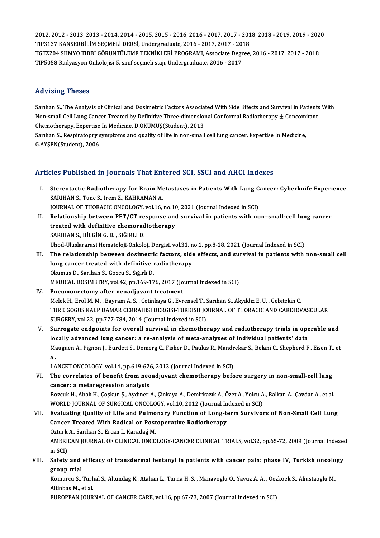2012, 2012 - 2013, 2013 - 2014, 2014 - 2015, 2015 - 2016, 2016 - 2017, 2017 - 2018, 2018 - 2019, 2019 - 2020<br>TIP2127 KANSERRIJ IM SECMELJ DERSL Undergraduate 2016 - 2017, 2017, 2019 2012, 2012 - 2013, 2013 - 2014, 2014 - 2015, 2015 - 2016, 2016 - 2017, 2017 - 201<br>TIP3137 KANSERBİLİM SEÇMELİ DERSİ, Undergraduate, 2016 - 2017, 2017 - 2018<br>TCT7204 SUMYO TIPRİ GÖRÜNTÜLEME TEKNİKLERİ PROCRAML ASSASIST DATA 2012, 2012 - 2013, 2013 - 2014, 2014 - 2015, 2015 - 2016, 2016 - 2017, 2017 - 2018, 2018 - 2019, 2019 - 202<br>TIP3137 KANSERBİLİM SEÇMELİ DERSİ, Undergraduate, 2016 - 2017, 2017 - 2018<br>TGTZ204 SHMYO TIBBİ GÖRÜNTÜLEME TEKNİKL TIP3137 KANSERBİLİM SEÇMELİ DERSİ, Undergraduate, 2016 - 2017, 2017 - 2018<br>TGTZ204 SHMYO TIBBİ GÖRÜNTÜLEME TEKNİKLERİ PROGRAMI, Associate Degree, 2016 - 2017, 2017 - 2018<br>TIP5058 Radyasyon Onkolojisi 5. sınıf seçmeli stajı

#### Advising Theses

Advising Theses<br>Sarıhan S., The Analysis of Clinical and Dosimetric Factors Associated With Side Effects and Survival in Patients With<br>Nan small Call Lung Cancer Treated by Definitive Three dimensional Conformal Badiethera Your Yourget Incodes<br>Sarıhan S., The Analysis of Clinical and Dosimetric Factors Associated With Side Effects and Survival in Patients<br>Non-small Cell Lung Cancer Treated by Definitive Three-dimensional Conformal Radiothera Sarıhan S., The Analysis of Clinical and Dosimetric Factors Association-small Cell Lung Cancer Treated by Definitive Three-dimension<br>Chemotherapy, Expertise In Medicine, D.OKUMUŞ(Student), 2013<br>Sarıhan S. Bespiratoruy sump Non-small Cell Lung Cancer Treated by Definitive Three-dimensional Conformal Radiotherapy  $\pm$  Concomi<br>Chemotherapy, Expertise In Medicine, D.OKUMUŞ(Student), 2013<br>Sarıhan S., Respiratopry symptoms and quality of life in n Chemotherapy, Expertise<br>Sarıhan S., Respiratopry s<br>G.AYŞEN(Student), 2006

# Articles Published in Journals That Entered SCI, SSCI and AHCI Indexes

- rticles Published in Journals That Entered SCI, SSCI and AHCI Indexes<br>I. Stereotactic Radiotherapy for Brain Metastases in Patients With Lung Cancer: Cyberknife Experience<br>SARIHAN S. Tung S. Jrom 7, KAHRAMAN A SARIHANS A HUSSENGE III JOHN MAS A HEL EXAMPLE SERVICE SERVICE ONCOLOGY VOLTA<br>SARIHAN S., Tunc S., Irem Z., KAHRAMAN A.<br>JOUPMAL OF THOPACIC ONCOLOGY VOLTA Stereotactic Radiotherapy for Brain Metastases in Patients With Lung C<br>SARIHAN S., Tunc S., Irem Z., KAHRAMAN A.<br>JOURNAL OF THORACIC ONCOLOGY, vol.16, no.10, 2021 (Journal Indexed in SCI)<br>Relationship between BET/CT respon SARIHAN S., Tunc S., Irem Z., KAHRAMAN A.<br>JOURNAL OF THORACIC ONCOLOGY, vol.16, no.10, 2021 (Journal Indexed in SCI)<br>II. Relationship between PET/CT response and survival in patients with non–small-cell lung cancer
- JOURNAL OF THORACIC ONCOLOGY, vol.16, no.10<br>Relationship between PET/CT response and<br>treated with definitive chemoradiotherapy<br>SARIHAN S. RILCIN C. R. SIČIRLI D treated with definitive chemoradiotherapy<br>SARIHAN S., BİLGİN G. B. , SIĞIRLI D. treated with definitive chemoradiotherapy<br>SARIHAN S., BİLGİN G. B. , SIĞIRLI D.<br>Uhod-Uluslararasi Hematoloji-Onkoloji Dergisi, vol.31, no.1, pp.8-18, 2021 (Journal Indexed in SCI)<br>The relationship between desimetris fester SARIHAN S., BİLGİN G. B. , SIĞIRLI D.<br>Uhod-Uluslararasi Hematoloji-Onkoloji Dergisi, vol.31, no.1, pp.8-18, 2021 (Journal Indexed in SCI)<br>III. The relationship between dosimetric factors, side effects, and survival in pati
- Uhod-Uluslararasi Hematoloji-Onkoloji Dergisi, vol.31, n<br>The relationship between dosimetric factors, side<br>lung cancer treated with definitive radiotherapy<br>Olaywus D. Sarkan S. Cazay S. Stěrk D. The relationship between dosimetri<br>lung cancer treated with definitive<br>Okumus D., Sarıhan S., Gozcu S., Sığırlı D.<br>MEDICAL DOSIMETRY vel 42 nn 160 17 lung cancer treated with definitive radiotherapy<br>Okumus D., Sarıhan S., Gozcu S., Sığırlı D.<br>MEDICAL DOSIMETRY, vol.42, pp.169-176, 2017 (Journal Indexed in SCI)<br>Pneumenestemu efter neeediyyent treatment Okumus D., Sarıhan S., Gozcu S., Sığırlı D.<br>MEDICAL DOSIMETRY, vol.42, pp.169-176, 2017 (Jo<br>IV. Pneumonectomy after neoadjuvant treatment<br>Melek H. Frel M. M. Peyram A. S., Getinkaya G. Frm
- IV. Pneumonectomy after neoadjuvant treatment<br>Melek H., Erol M. M. , Bayram A. S. , Cetinkaya G., Evrensel T., Sarıhan S., Akyıldız E. Ü. , Gebitekin C. Pneumonectomy after neoadjuvant treatment<br>Melek H., Erol M. M. , Bayram A. S. , Cetinkaya G., Evrensel T., Sarıhan S., Akyıldız E. Ü. , Gebitekin C.<br>TURK GOGUS KALP DAMAR CERRAHISI DERGISI-TURKISH JOURNAL OF THORACIC AND C Melek H., Erol M. M. , Bayram A. S. , Cetinkaya G., Evrensel T., .<br>TURK GOGUS KALP DAMAR CERRAHISI DERGISI-TURKISH JO<br>SURGERY, vol.22, pp.777-784, 2014 (Journal Indexed in SCI)<br>Surregate endneints for exercil survival in s TURK GOGUS KALP DAMAR CERRAHISI DERGISI-TURKISH JOURNAL OF THORACIC AND CARDIOVASCULAR<br>SURGERY, vol.22, pp.777-784, 2014 (Journal Indexed in SCI)<br>V. Surrogate endpoints for overall survival in chemotherapy and radiotherapy
- SURGERY, vol.22, pp.777-784, 2014 (Journal Indexed in SCI)<br>Surrogate endpoints for overall survival in chemotherapy and radiotherapy trials in operable and<br>locally advanced lung cancer: a re-analysis of meta-analyses of in Surrogate endpoints for overall survival in chemotherapy and radiotherapy trials in operable and<br>locally advanced lung cancer: a re-analysis of meta-analyses of individual patients' data<br>Mauguen A., Pignon J., Burdett S., lo<br>Ma<br>al<br>L A Mauguen A., Pignon J., Burdett S., Domerg C., Fisher D., Paulus R., Mandr<br>al.<br>LANCET ONCOLOGY, vol.14, pp.619-626, 2013 (Journal Indexed in SCI)<br>The correlates of benefit from neoadiuvant chemathereny befo

al.<br>LANCET ONCOLOGY, vol.14, pp.619-626, 2013 (Journal Indexed in SCI)<br>VI. The correlates of benefit from neoadjuvant chemotherapy before surgery in non-small-cell lung<br>cancer: a metaregression analysis LANCET ONCOLOGY, vol.14, pp.619-62<br>The correlates of benefit from neo<br>cancer: a metaregression analysis<br>Pozauk H Abel: H Coclain S Avdinor The correlates of benefit from neoadjuvant chemotherapy before surgery in non-small-cell lung<br>cancer: a metaregression analysis<br>Bozcuk H., Abalı H., Çoşkun Ş., Aydıner A., Çinkaya A., Demirkazık A., Özet A., Yolcu A., Balk cancer: a metaregression analysis<br>Bozcuk H., Abalı H., Çoşkun Ş., Aydıner A., Çinkaya A., Demirkazık A., Özet A., Yolcu A<br>WORLD JOURNAL OF SURGICAL ONCOLOGY, vol.10, 2012 (Journal Indexed in SCI)<br>Fyolusting Quality of Life Bozcuk H., Abalı H., Çoşkun Ş., Aydıner A., Çinkaya A., Demirkazık A., Özet A., Yolcu A., Balkan A., Çavdar A., et al.<br>WORLD JOURNAL OF SURGICAL ONCOLOGY, vol.10, 2012 (Journal Indexed in SCI)<br>VII. Evaluating Quality of Li

# WORLD JOURNAL OF SURGICAL ONCOLOGY, vol.10, 2012 (Journal In<br>Evaluating Quality of Life and Pulmonary Function of Long-to<br>Cancer Treated With Radical or Postoperative Radiotherapy Evaluating Quality of Life and Pulmo<br>Cancer Treated With Radical or Post<br>Ozturk A., Sarıhan S., Ercan İ., Karadağ M.<br>AMERICAN JOURNAL OF CLINICAL ONCO Cancer Treated With Radical or Postoperative Radiotherapy<br>Ozturk A., Sarıhan S., Ercan İ., Karadağ M.<br>AMERICAN JOURNAL OF CLINICAL ONCOLOGY-CANCER CLINICAL TRIALS, vol.32, pp.65-72, 2009 (Journal Indexed<br>in SCD

Ozturk<br>AMERI<br>in SCI)<br>Sefety AMERICAN JOURNAL OF CLINICAL ONCOLOGY-CANCER CLINICAL TRIALS, vol.32, pp.65-72, 2009 (Journal Indexed<br>in SCI)<br>VIII. Safety and efficacy of transdermal fentanyl in patients with cancer pain: phase IV, Turkish oncology<br>TROUR

in SCI)<br>Safety and<br>group trial<br>Komurgy S Safety and efficacy of transdermal fentanyl in patients with cancer pain: phase IV, Turkish oncolo<br>group trial<br>Komurcu S., Turhal S., Altundag K., Atahan L., Turna H. S. , Manavoglu O., Yavuz A. A. , Oezkoek S., Aliustaogl

**group trial<br>Komurcu S., Turh<br>Altinbas M., et al.<br>EUROPEAN JOUP** Komurcu S., Turhal S., Altundag K., Atahan L., Turna H. S. , Manavoglu O., Yavuz A. A. , Oez<br>Altinbas M., et al.<br>EUROPEAN JOURNAL OF CANCER CARE, vol.16, pp.67-73, 2007 (Journal Indexed in SCI)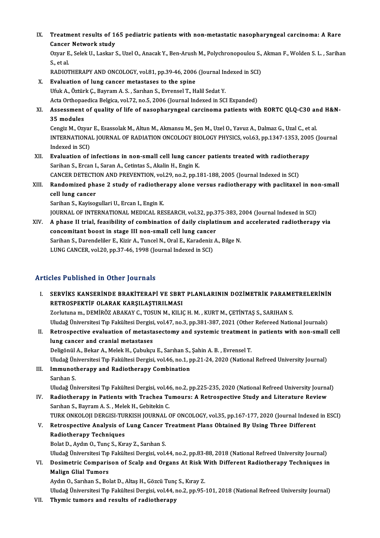IX. Treatment results of 165 pediatric patients with non-metastatic nasopharyngeal carcinoma: A Rare Treatment results of 1<br>Cancer Network study<br>Ower E. Selek II, Leeker 9 Treatment results of 165 pediatric patients with non-metastatic nasopharyngeal carcinoma: A Rare<br>Cancer Network study<br>Ozyar E., Selek U., Laskar S., Uzel O., Anacak Y., Ben-Arush M., Polychronopoulou S., Akman F., Wolden S

Cancer Network study<br>Ozyar E., Selek U., Laskar S., Uzel O., Anacak Y., Ben-Arush M., Polychronopoulou S., Akman F., Wolden S. L. , Sarihan<br>S., et al.

RADIOTHERAPY AND ONCOLOGY, vol.81, pp.39-46, 2006 (Journal Indexed in SCI)

X. Evaluation of lung cancer metastases to the spine

Ufuk A., Öztürk Ç., Bayram A. S., Sarıhan S., Evrensel T., Halil Sedat Y. Acta Orthopaedica Belgica, vol.72, no.5, 2006 (Journal Indexed in SCI Expanded)

Ufuk A., Öztürk Ç., Bayram A. S. , Sarıhan S., Evrensel T., Halil Sedat Y.<br>Acta Orthopaedica Belgica, vol.72, no.5, 2006 (Journal Indexed in SCI Expanded)<br>XI. Assessment of quality of life of nasopharyngeal carcinoma patie Acta Orthopae<br>Assessment<br>35 modules<br>Congiz M. Orr Assessment of quality of life of nasopharyngeal carcinoma patients with EORTC QLQ-C30 ar<br>35 modules<br>Cengiz M., Ozyar E., Esassolak M., Altun M., Akmansu M., Şen M., Uzel O., Yavuz A., Dalmaz G., Uzal C., et al.<br>INTERNATION

35 modules<br>Cengiz M., Ozyar E., Esassolak M., Altun M., Akmansu M., Şen M., Uzel O., Yavuz A., Dalmaz G., Uzal C., et al.<br>INTERNATIONAL JOURNAL OF RADIATION ONCOLOGY BIOLOGY PHYSICS, vol.63, pp.1347-1353, 2005 (Journal<br>Ind Cengiz M., Ozyar E., Esassolak M., Altun M., Akmansu M., Şen M., Uzel O., Yavuz A., Dalmaz G., Uzal C., et al. INTERNATIONAL JOURNAL OF RADIATION ONCOLOGY BIOLOGY PHYSICS, vol.63, pp.1347-1353, 200<br>Indexed in SCI)<br>XII. Evaluation of infections in non-small cell lung cancer patients treated with radiotherapy<br>Soriban S. Freed J. Sara

Indexed in SCI)<br><mark>Evaluation of infections in non-small cell lung canc</mark><br>Sarihan S., Ercan I., Saran A., Cetintas S., Akalin H., Engin K.<br>CANGER DETECTION AND REEVENTION .val 29, no 2, np 1. Evaluation of infections in non-small cell lung cancer patients treated with radiothera<br>Sarihan S., Ercan I., Saran A., Cetintas S., Akalin H., Engin K.<br>CANCER DETECTION AND PREVENTION, vol.29, no.2, pp.181-188, 2005 (Jour

Sarihan S., Ercan I., Saran A., Cetintas S., Akalin H., Engin K.<br>CANCER DETECTION AND PREVENTION, vol.29, no.2, pp.181-188, 2005 (Journal Indexed in SCI)<br>XIII. Randomized phase 2 study of radiotherapy alone versus radi CANCER DETECTION<br>Randomized pha<br>cell lung cancer<br>Sariban S. Kavises Randomized phase 2 study of radiother<br>cell lung cancer<br>Sarihan S., Kayisogullari U., Ercan I., Engin K.<br>JOUPNAL OF INTERNATIONAL MEDICAL PE cell lung cancer<br>Sarihan S., Kayisogullari U., Ercan I., Engin K.<br>JOURNAL OF INTERNATIONAL MEDICAL RESEARCH, vol.32, pp.375-383, 2004 (Journal Indexed in SCI)<br>A phase II trial, foosibility of sombination of daily sisplatin

Sarihan S., Kayisogullari U., Ercan I., Engin K.<br>JOURNAL OF INTERNATIONAL MEDICAL RESEARCH, vol.32, pp.375-383, 2004 (Journal Indexed in SCI)<br>XIV. A phase II trial, feasibility of combination of daily cisplatinum and accel JOURNAL OF INTERNATIONAL MEDICAL RESEARCH, vol.32, pp.3<br>A phase II trial, feasibility of combination of daily cisplat<br>concomitant boost in stage III non-small cell lung cancer<br>Sariban S. Darondollor E. Kirir A. Tungel N. O A phase II trial, feasibility of combination of daily cisplatinum and<br>concomitant boost in stage III non-small cell lung cancer<br>Sarihan S., Darendeliler E., Kizir A., Tuncel N., Oral E., Karadeniz A., Bilge N.<br>LUNC CANCER concomitant boost in stage III non-small cell lung cancer<br>Sarihan S., Darendeliler E., Kizir A., Tuncel N., Oral E., Karadeniz<br>LUNG CANCER, vol.20, pp.37-46, 1998 (Journal Indexed in SCI) LUNG CANCER, vol.20, pp.37-46, 1998 (Journal Indexed in SCI)<br>Articles Published in Other Journals

- I. SERVİKS KANSERİNDE BRAKİTERAPİ VE SBRT PLANLARININ DOZİMETRİK PARAMETRELERİNİN RETROSPEKTİF OLARAK KARŞILAŞTIRILMASI Zorlutuna m., DEMİRÖZ ABAKAY C., TOSUN M., KILIÇ H. M., KURT M., ÇETİNTAŞ S., SARIHAN S. Uludağ Üniversitesi Tıp Fakültesi Dergisi, vol.47, no.3, pp.381-387, 2021 (Other Refereed National Journals) Zorlutuna m., DEMİRÖZ ABAKAY C., TOSUN M., KILIÇ H. M. , KURT M., ÇETİNTAŞ S., SARIHAN S.<br>Uludağ Üniversitesi Tıp Fakültesi Dergisi, vol.47, no.3, pp.381-387, 2021 (Other Refereed National Journals)<br>II. Retrospective evalu
- Uludağ Üniversitesi Tıp Fakültesi Dergisi<br>Retrospective evaluation of metasta<br>lung cancer and cranial metastases<br>Pelizënül A. Bekan A. Melek H. Gubukay lung cancer and cranial metastases<br>Deligönül A., Bekar A., Melek H., Çubukçu E., Sarıhan S., Şahin A. B. , Evrensel T. lung cancer and cranial metastases<br>Deligönül A., Bekar A., Melek H., Çubukçu E., Sarıhan S., Şahin A. B. , Evrensel T.<br>Uludağ Üniversitesi Tıp Fakültesi Dergisi, vol.46, no.1, pp.21-24, 2020 (National Refreed University Jo Deligönül A., Bekar A., Melek H., Çubukçu E., Sarıhan S.,<br>Uludağ Üniversitesi Tıp Fakültesi Dergisi, vol.46, no.1, p<br>III. Immunotherapy and Radiotherapy Combination<br>Sarıhan S Uludağ Ün<br>I<mark>mmunot</mark><br>Sarıhan S.<br>Uludağ Ün
- I<mark>mmunotherapy and Radiotherapy Combination</mark><br>Sarıhan S.<br>Uludağ Üniversitesi Tıp Fakültesi Dergisi, vol.46, no.2, pp.225-235, 2020 (National Refreed University Journal)<br>Padiotherany in Pationts with Trashes Tumours: A Petro

Sarıhan S.<br>Uludağ Üniversitesi Tıp Fakültesi Dergisi, vol.46, no.2, pp.225-235, 2020 (National Refreed University Journa<br>IV. Radiotherapy in Patients with Trachea Tumours: A Retrospective Study and Literature Review<br>Sarıha Uludağ Üniversitesi Tıp Fakültesi Dergisi, vol.46<br>Radiotherapy in Patients with Trachea Tu<br>Sarıhan S., Bayram A. S. , Melek H., Gebitekin C.<br>TURK ONKOLOU DERGISI TURKISH JOURNAL 6 IV. Radiotherapy in Patients with Trachea Tumours: A Retrospective Study and Literature Review<br>Sarıhan S., Bayram A. S. , Melek H., Gebitekin C.<br>TURK ONKOLOJI DERGISI-TURKISH JOURNAL OF ONCOLOGY, vol.35, pp.167-177, 2020 (

Sarıhan S., Bayram A. S. , Melek H., Gebitekin C.<br>TURK ONKOLOJI DERGISI-TURKISH JOURNAL OF ONCOLOGY, vol.35, pp.167-177, 2020 (Journal Indexed<br>V. Retrospective Analysis of Lung Cancer Treatment Plans Obtained By Using Thre TURK ONKOLOJI DERGISI-TUI<br>Retrospective Analysis of<br>Radiotherapy Techniques<br>Polst D. Aydın O. Tune S. Kır Retrospective Analysis of Lung Cancer 1<br>Radiotherapy Techniques<br>Bolat D., Aydın O., Tunç S., Kıray Z., Sarıhan S.<br>Uludeğ Üniversitesi Tın Fekültesi Dersisi vel

Radiotherapy Techniques<br>Bolat D., Aydın O., Tunç S., Kıray Z., Sarıhan S.<br>Uludağ Üniversitesi Tıp Fakültesi Dergisi, vol.44, no.2, pp.83-88, 2018 (National Refreed University Journal) Bolat D., Aydın O., Tunç S., Kıray Z., Sarıhan S.<br>Uludağ Üniversitesi Tıp Fakültesi Dergisi, vol.44, no.2, pp.83-88, 2018 (National Refreed University Journal)<br>VI. Dosimetric Comparison of Scalp and Organs At Risk With

Uludağ Üniversitesi Tıp<br>Dosimetric Comparis<br>Malign Glial Tumors<br>Aydın O. Sarıban S. Ba Malign Glial Tumors<br>Aydın O., Sarıhan S., Bolat D., Altaş H., Gözcü Tunç S., Kıray Z.

Uludağ Üniversitesi Tıp Fakültesi Dergisi, vol.44, no.2, pp.95-101, 2018 (National Refreed University Journal)

VII. Thymic tumors and results of radiotherapy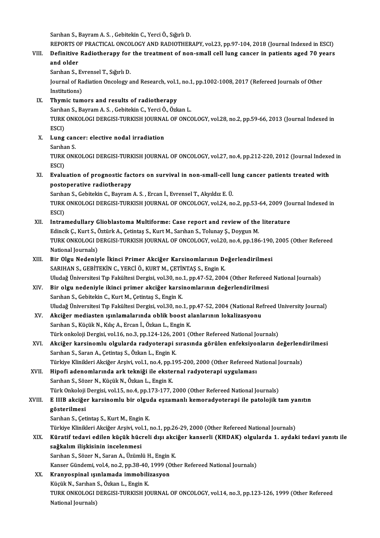Sarıhan S., Bayram A.S., Gebitekin C., Yerci Ö., Sığırlı D.

Sarıhan S., Bayram A. S. , Gebitekin C., Yerci Ö., Sığırlı D.<br>REPORTS OF PRACTICAL ONCOLOGY AND RADIOTHERAPY, vol.23, pp.97-104, 2018 (Journal Indexed in ESCI)<br>Definitive Bedietherany for the treatment of non-small cell lu

Sarıhan S., Bayram A. S. , Gebitekin C., Yerci Ö., Sığırlı D.<br>REPORTS OF PRACTICAL ONCOLOGY AND RADIOTHERAPY, vol.23, pp.97-104, 2018 (Journal Indexed in ESCI)<br>VIII. Definitive Radiotherapy for the treatment of non-sma REPORTS O<br>Definitive<br>and older<br>Sarban S Definitive Radiotherapy for<br>and older<br>Sarıhan S., Evrensel T., Sığırlı D.<br>Journal of Padiation Oncologu a

and older<br>Sarıhan S., Evrensel T., Sığırlı D.<br>Journal of Radiation Oncology and Research, vol.1, no.1, pp.1002-1008, 2017 (Refereed Journals of Other<br>Institutions) Sarıhan S., Ev<br>Journal of Ra<br>Institutions)<br>Thumis tum

#### IX. Thymic tumors and results of radiotherapy

Sarıhan S., Bayram A.S., Gebitekin C., Yerci Ö., Özkan L.

Thymic tumors and results of radiotherapy<br>Sarıhan S., Bayram A. S. , Gebitekin C., Yerci Ö., Özkan L.<br>TURK ONKOLOGI DERGISI-TURKISH JOURNAL OF ONCOLOGY, vol.28, no.2, pp.59-66, 2013 (Journal Indexed in<br>ESCD Sarıha<br>TURK<br>ESCI)<br>Lung TURK ONKOLOGI DERGISI-TURKISH JOURNA<br>ESCI)<br>X. Lung cancer: elective nodal irradiation

ESCI)<br>X. Lung cancer: elective nodal irradiation<br>Sarıhan S. Lung cancer: elective nodal irradiation<br>Sarıhan S.<br>TURK ONKOLOGI DERGISI-TURKISH JOURNAL OF ONCOLOGY, vol.27, no.4, pp.212-220, 2012 (Journal Indexed in<br>ESCD

Sarıha<br>TURK<br>ESCI)<br>Evalu TURK ONKOLOGI DERGISI-TURKISH JOURNAL OF ONCOLOGY, vol.27, no.4, pp.212-220, 2012 (Journal Indexe<br>ESCI)<br>XI. Evaluation of prognostic factors on survival in non-small-cell lung cancer patients treated with<br>nectonerative red

ESCI)<br>Evaluation of prognostic fac<br>postoperative radiotherapy<br>Samban S. Cabitekin C. Baymam Evaluation of prognostic factors on survival in non-small-cell l<br>postoperative radiotherapy<br>Sarıhan S., Gebitekin C., Bayram A. S. , Ercan İ., Evrensel T., Akyıldız E. Ü.<br>TURK ONKOLOCI DERCISI TURKISH JOURNAL OF ONCOLOCY .

postoperative radiotherapy<br>Sarıhan S., Gebitekin C., Bayram A. S. , Ercan İ., Evrensel T., Akyıldız E. Ü.<br>TURK ONKOLOGI DERGISI-TURKISH JOURNAL OF ONCOLOGY, vol.24, no.2, pp.53-64, 2009 (Journal Indexed in<br>ESCD Sarıhan S., Gebitekin C., Bayram A. S. , Ercan İ., Evrensel T., Akyıldız E. Ü.<br>TURK ONKOLOGI DERGISI-TURKISH JOURNAL OF ONCOLOGY, vol.24, no.2, pp.53-64, 2009 (Jo<br>ESCI)<br>XII. Intramedullary Glioblastoma Multiforme: Case TURK ONKOLOGI DERGISI-TURKISH JOURNAL OF ONCOLOGY, vol.24, no.2, pp.53-64, 2009 (Jo<br>ESCI)<br>XII. Intramedullary Glioblastoma Multiforme: Case report and review of the literature<br>Edingik C. Kurt S. Östürk A. Cetintee S. Kurt

Edincik Ç., Kurt S., Öztürk A., Çetintaş S., Kurt M., Sarıhan S., Tolunay Ş., Doygun M. Intramedullary Glioblastoma Multiforme: Case report and review of the literature<br>Edincik Ç., Kurt S., Öztürk A., Çetintaş S., Kurt M., Sarıhan S., Tolunay Ş., Doygun M.<br>TURK ONKOLOGI DERGISI-TURKISH JOURNAL OF ONCOLOGY, vo Edincik Ç., Kurt S., Ó<br>TURK ONKOLOGI D<br>National Journals)<br>Pir Olgu Nodoniu TURK ONKOLOGI DERGISI-TURKISH JOURNAL OF ONCOLOGY, vol.20, no.4, pp.186-190,<br>National Journals)<br>XIII. Bir Olgu Nedeniyle İkinci Primer Akciğer Karsinomlarının Değerlendirilmesi<br>SARIHAN S-GERİTEKİN G-YERÇİ Ö, KURT M-GETİNTA

National Journals)<br>SARIHAN S., GEBİTEKİN C., YERCİ Ö., KURT M., ÇETİNTAŞ S., Engin K.<br>SARIHAN S., GEBİTEKİN C., YERCİ Ö., KURT M., ÇETİNTAŞ S., Engin K. Uludağ Üniversitesi Tıp Fakültesi Dergisi, vol.30, no.1, pp.47-52, 2004 (Other Refereed National Journals)

XIV. Bir olgu nedeniyle ikinci primer akciğer karsinomlarının değerlendirilmesi Sarıhan S., Gebitekin C., Kurt M., Çetintaş S., Engin K. Uludağ Üniversitesi Tıp Fakültesi Dergisi, vol.30, no.1, pp.47-52, 2004 (National Refreed University Journal)

- XV. Akciğer mediasten ışınlamalarında oblik boost alanlarının lokalizasyonu Sarıhan S., Küçük N., Kılıç A., Ercan İ., Özkan L., Engin K. Akciğer mediasten ışınlamalarında oblik boost alanlarının lokalizasyonu<br>Sarıhan S., Küçük N., Kılıç A., Ercan İ., Özkan L., Engin K.<br>Türk onkoloji Dergisi, vol.16, no.3, pp.124-126, 2001 (Other Refereed National Journals)<br>
- Sarıhan S., Küçük N., Kılıç A., Ercan İ., Özkan L., Engin K.<br>Türk onkoloji Dergisi, vol.16, no.3, pp.124-126, 2001 (Other Refereed National Journals)<br>XVI. Akciğer karsinomlu olgularda radyoterapi sırasında görülen enfe Türk onkoloji Dergisi, vol.16, no.3, pp.124-126, 20<br><mark>Akciğer karsinomlu olgularda radyoterapi</mark> s<br>Sarıhan S., Saran A., Çetintaş S., Özkan L., Engin K.<br>Türkiye Klinikleri Aksižer Arsiyi vol.1, no.4, np.16 Akciğer karsinomlu olgularda radyoterapi sırasında görülen enfeksiyonların değerlend<br>Sarıhan S., Saran A., Çetintaş S., Özkan L., Engin K.<br>Türkiye Klinikleri Akciğer Arşivi, vol.1, no.4, pp.195-200, 2000 (Other Refereed Na Sarıhan S., Saran A., Çetintaş S., Özkan L., Engin K.<br>Türkiye Klinikleri Akciğer Arşivi, vol.1, no.4, pp.195-200, 2000 (Other Refereed National Journals)<br>XVII. Hipofi adenomlarında ark tekniği ile eksternal radyoterapi
- Sarıhan S., Sözer N., Küçük N., Özkan L., Engin K. Hipofi adenomlarında ark tekniği ile eksternal radyoterapi uygulaması<br>Sarıhan S., Sözer N., Küçük N., Özkan L., Engin K.<br>Türk Onkoloji Dergisi, vol.15, no.4, pp.173-177, 2000 (Other Refereed National Journals)<br>E HIP aksiğe Sarıhan S., Sözer N., Küçük N., Özkan L., Engin K.<br>Türk Onkoloji Dergisi, vol.15, no.4, pp.173-177, 2000 (Other Refereed National Journals)<br>XVIII. E IIIB akciğer karsinomlu bir olguda eşzamanlı kemoradyoterapi ile pato

# Türk Onkoloji<br>E IIIB akciğe<br>gösterilmesi<br><sup>Sombon S. Cot</sup>

E IIIB <mark>akciğer karsinomlu bir olgu</mark><br>gösterilmesi<br>Sarıhan S., Çetintaş S., Kurt M., Engin K.<br>Türkiye Klinikleri Aksiğer Arsiyi yol 1

gösterilmesi<br>Sarıhan S., Çetintaş S., Kurt M., Engin K.<br>Türkiye Klinikleri Akciğer Arşivi, vol.1, no.1, pp.26-29, 2000 (Other Refereed National Journals)<br>Künatif tadayi adilan kügük büspeli dısı aksiğer kansarlı (KUDAK) al

### Sarıhan S., Çetintaş S., Kurt M., Engin K.<br>Türkiye Klinikleri Akciğer Arşivi, vol.1, no.1, pp.26-29, 2000 (Other Refereed National Journals)<br>XIX. Küratif tedavi edilen küçük hücreli dışı akciğer kanserli (KHDAK) olgula Türkiye Klinikleri Akciğer Arşivi, vol<br>Küratif tedavi edilen küçük hüc:<br>sağkalım ilişkisinin incelenmesi<br>Sarıban S. Sözer N. Saran A. Üzüml Küratif tedavi edilen küçük hücreli dışı akci<br>sağkalım ilişkisinin incelenmesi<br>Sarıhan S., Sözer N., Saran A., Üzümlü H., Engin K.<br>Kansar Gündami val 4, no 2, np 38,40, 1999 (Oth s<mark>ağkalım ilişkisinin incelenmesi</mark><br>Sarıhan S., Sözer N., Saran A., Üzümlü H., Engin K.<br>Kanser Gündemi, vol.4, no.2, pp.38-40, 1999 (Other Refereed National Journals)<br>Knanyosninal Jourlameda immebilirasyon

# Sarıhan S., Sözer N., Saran A., Üzümlü H., Engin K.<br>Kanser Gündemi, vol.4, no.2, pp.38-40, 1999 (Oth<br>XX. Kranyospinal ışınlamada immobilizasyon<br>Küçük N., Sarıhan S., Özkan L., Engin K.

Kanser Gündemi, vol.4, no.2, pp.38-40,<br><mark>Kranyospinal ışınlamada immobili</mark><br>Küçük N., Sarıhan S., Özkan L., Engin K.<br>TURK ONKOLOGI DERÇISI TURKISH 10 Kranyospinal ışınlamada immobilizasyon<br>Küçük N., Sarıhan S., Özkan L., Engin K.<br>TURK ONKOLOGI DERGISI-TURKISH JOURNAL OF ONCOLOGY, vol.14, no.3, pp.123-126, 1999 (Other Refereed<br>National Journale) Küçük N., Sarıhan<br>TURK ONKOLOGI I<br>National Journals)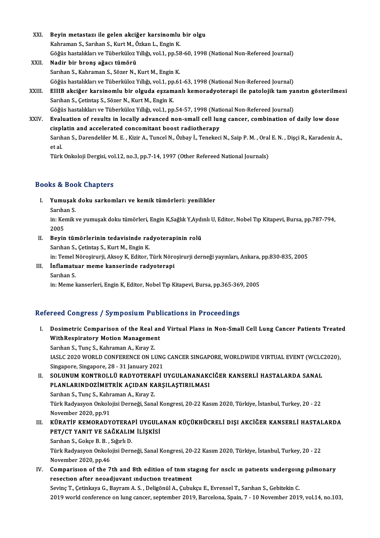- XXI. Beyin metastazı ile gelen akciğer karsinomlu bir olgu<br>Kahraman S. Sauban S. Kurt M. Örkan L. Engin K. Beyin metastazı ile gelen akciğer karsinomlu<br>Kahraman S., Sarıhan S., Kurt M., Özkan L., Engin K.<br>Göğüs hastalıkları ve Tüherküler Vıllığı vel 1-nn ES Beyin metastazı ile gelen akciğer karsinomlu bir olgu<br>Kahraman S., Sarıhan S., Kurt M., Özkan L., Engin K.<br>Göğüs hastalıkları ve Tüberküloz Yıllığı, vol.1, pp.58-60, 1998 (National Non-Refereed Journal)<br>Nadin bir brona ağa Kahraman S., Sarıhan S., Kurt M., Özkan L., Engin K.<br>Göğüs hastalıkları ve Tüberküloz Yıllığı, vol.1, pp.58<br>XXII. **Nadir bir bronş ağacı tümörü**<br>Sarıhan S., Kahraman S., Sözer N., Kurt M., Engin K. Göğüs hastalıkları ve Tüberküloz Yıllığı, vol.1, pp.58<br>Nadir bir bronş ağacı tümörü<br>Sarıhan S., Kahraman S., Sözer N., Kurt M., Engin K.<br>Göğüs hastalıkları ve Tüberkülez Yıllığı vol.1, np.61
- Göğüs hastalıkları ve Tüberküloz Yıllığı, vol.1, pp.61-63, 1998 (National Non-Refereed Journal) Sarıhan S., Kahraman S., Sözer N., Kurt M., Engin K.<br>Göğüs hastalıkları ve Tüberküloz Yıllığı, vol.1, pp.61-63, 1998 (National Non-Refereed Journal)<br>XXIII. EIIIB akciğer karsinomlu bir olguda eşzamanlı kemoradyoterapi
- Göğüs hastalıkları ve Tüberküloz Yıllığı, vol.1, pp<br>EIIIB akciğer karsinomlu bir olguda eşzam<br>Sarıhan S., Çetintaş S., Sözer N., Kurt M., Engin K.<br>Göğüs hastalıkları ve Tüberkülez Yıllığı vol.1, nn EIIIB akciğer karsinomlu bir olguda eşzamanlı kemoradyoterapi ile patolojik tam ya<br>Sarıhan S., Çetintaş S., Sözer N., Kurt M., Engin K.<br>Göğüs hastalıkları ve Tüberküloz Yıllığı, vol.1, pp.54-57, 1998 (National Non-Refereed

Sarıhan S., Çetintaş S., Sözer N., Kurt M., Engin K.<br>Göğüs hastalıkları ve Tüberküloz Yıllığı, vol.1, pp.54-57, 1998 (National Non-Refereed Journal)<br>XXIV. Bvaluation of results in locally advanced non-small cell lung cance Göğüs hastalıkları ve Tüberküloz Yıllığı, vol.1, pp.54-57, 1998 (Nationalist)<br>Evaluation of results in locally advanced non-small cell luncisplatin and accelerated concomitant boost radiotherapy<br>Sarıban S. Darondaliler M. Evaluation of results in locally advanced non-small cell lung cancer, combination of daily low dose<br>cisplatin and accelerated concomitant boost radiotherapy<br>Sarıhan S., Darendeliler M. E. , Kizir A., Tuncel N., Özbay İ., T cisplatin and accelerated concomitant boost radiotherapy<br>Sarıhan S., Darendeliler M. E. , Kizir A., Tuncel N., Özbay İ., Tenekeci N., Saip P. M. , Oral E. N. , Dişçi R., Karadeniz A.,<br>et al.

Türk Onkoloji Dergisi, vol.12, no.3, pp.7-14, 1997 (Other Refereed National Journals)

#### Books&Book Chapters

- ooks & Book Chapters<br>I. Yumuşak doku sarkomları ve kemik tümörleri: yenilikler<br>Sarıban S Sarıhan S.<br>Sarıhan S.<br>İn: Komika
	-

Yumuşak doku sarkomları ve kemik tümörleri: yenilikler<br>Sarıhan S.<br>in: Kemik ve yumuşak doku tümörleri, Engin K,Sağlık Y,Aydınlı U, Editor, Nobel Tıp Kitapevi, Bursa, pp.787-794,<br>2005 Sarıha<br>in: Kei<br>2005<br>Boyin in: Kemik ve yumuşak doku tümörleri, Engin K,Sağlık Y,Aydı<br>2005<br>II. Beyin tümörlerinin tedavisinde radyoterapinin rolü<br>Samban S. Cetintas S. Kurt M. Engin K

2005<br><mark>Beyin tümörlerinin tedavisinde ra</mark><br>Sarıhan S., Çetintaş S., Kurt M., Engin K.<br>in: Temel Nörosinurii, Aksov K. Editer.

Beyin tümörlerinin tedavisinde radyoterapinin rolü<br>Sarıhan S., Çetintaş S., Kurt M., Engin K.<br>in: Temel Nöroşirurji, Aksoy K, Editor, Türk Nöroşirurji derneği yayınları, Ankara, pp.830-835, 2005<br>İnflamatuar mama kansarında

Sarıhan S., Çetintaş S., Kurt M., Engin K.<br>in: Temel Nöroşirurji, Aksoy K, Editor, Türk Nöro<br>III. İnflamatuar meme kanserinde radyoterapi<br>Sarıhan S. in: Temel I<br>**İnflamatu**<br>Sarıhan S.<br>in: Meme l

in: Meme kanserleri, Engin K, Editor, Nobel Tıp Kitapevi, Bursa, pp.365-369, 2005

#### Refereed Congress / Symposium Publications in Proceedings

I. Dosimetric Comparison of the Real and Virtual Plans in Non-Smal Cel Lung Cancer Patients Treated Dosimetric Comparison of the Real and<br>WithRespiratory Motion Management<br>Samban S. Tune S. Kahnaman A. Kunay 7. **Dosimetric Comparison of the Real a**<br>WithRespiratory Motion Managemer<br>Sarıhan S., Tunç S., Kahraman A., Kıray Z.<br>JASLG 2020 WORLD CONFERENCE ON LI Sarıhan S., Tunç S., Kahraman A., Kıray Z.<br>IASLC 2020 WORLD CONFERENCE ON LUNG CANCER SINGAPORE, WORLDWIDE VIRTUAL EVENT (WCLC2020), Singapore, Singapore, 28 - 31 January 2021 IASLC 2020 WORLD CONFERENCE ON LUNG CANCER SINGAPORE, WORLDWIDE VIRTUAL EVENT (WCLC<br>Singapore, Singapore, 28 - 31 January 2021<br>II. SOLUNUM KONTROLLÜ RADYOTERAPİ UYGULANANAKCİĞER KANSERLİ HASTALARDA SANAL<br>PLANLARINDOZİMETRI Singapore, Singapore, 28 - 31 January 2021<br>SOLUNUM KONTROLLÜ RADYOTERAPİ UYGULANANAKO<br>PLANLARINDOZİMETRİK AÇIDAN KARŞILAŞTIRILMASI<br>Sarıban S. Tune S. Kabraman A. Kıray 7 SOLUNUM KONTROLLÜ RADYOTERA<br>PLANLARINDOZİMETRİK AÇIDAN KA<br>Sarıhan S., Tunç S., Kahraman A., Kıray Z.<br>Türk Badyasyon Onkalajisi Derneği, Sana

PLANLARINDOZİMETRİK AÇIDAN KARŞILAŞTIRILMASI<br>Sarıhan S., Tunç S., Kahraman A., Kıray Z.<br>Türk Radyasyon Onkolojisi Derneği, Sanal Kongresi, 20-22 Kasım 2020, Türkiye, İstanbul, Turkey, 20 - 22<br>November 2020, pp.91 Sarıhan S., Tunç S., Kahraman A., Kıray Z. Türk Radyasyon Onkolojisi Derneği, Sanal Kongresi, 20-22 Kasım 2020, Türkiye, İstanbul, Turkey, 20 - 22<br>November 2020, pp.91<br>III. KÜRATİF KEMORADYOTERAPİ UYGULANAN KÜÇÜKHÜCRELİ DIŞI AKCİĞER KANSERLİ HASTALARDA<br>RET/CT V

# November 2020, pp.91<br>KÜRATİF KEMORADYOTERAPİ UYGUL*I*<br>PET/CT YANIT VE SAĞKALIM İLİŞKİSİ<br>Sarıban S. Calta B. B. Sığırlı D. KÜRATİF KEMORADYOTERAI<br>PET/CT YANIT VE SAĞKALIM<br>Sarıhan S., Gokçe B. B. , Sığırlı D.<br>Türk Badyasyon Onkalajisi Derr

PET/CT YANIT VE SAĞKALIM İLİŞKİSİ<br>Sarıhan S., Gokçe B. B. , Sığırlı D.<br>Türk Radyasyon Onkolojisi Derneği, Sanal Kongresi, 20-22 Kasım 2020, Türkiye, İstanbul, Turkey, 20 - 22<br>Navambar 3030, pp.46 Sarıhan S., Gokçe B. B. , :<br>Türk Radyasyon Onkolo<br>November 2020, pp.46<br>Companisyon of the 7 Türk Radyasyon Onkolojisi Derneği, Sanal Kongresi, 20-22 Kasım 2020, Türkiye, İstanbul, Turkey, 20 - 22<br>November 2020, pp.46<br>IV. Comparision of the 7th and 8th edition of tnm staging for nsclc in patients undergoing pilmon

November 2020, pp.46<br>Comparision of the 7th and 8th edition of tnm st<br>resection after neoadjuvant induction treatment<br>Sevine T. Cetinkaya C. Beymam A. S. Deligenil A. Cubu resection after neoadjuvant induction treatment<br>Sevinç T., Çetinkaya G., Bayram A. S. , Deligönül A., Çubukçu E., Evrensel T., Sarıhan S., Gebitekin C.

2019world conference onlung cancer, september 2019,Barcelona,Spain,7 -10November 2019,vol.14,no.103,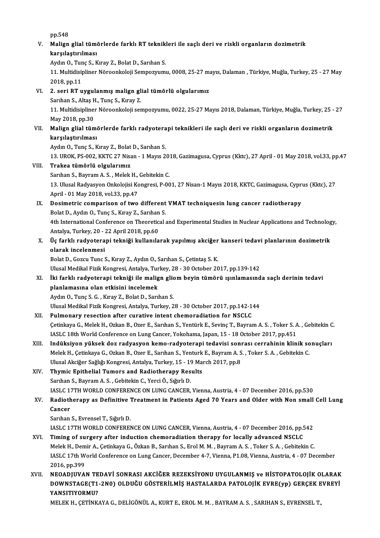pp.548

pp.548<br>V. Malign glial tümörlerde farklı RT teknikleri ile saçlı deri ve riskli organların dozimetrik<br>kanalastırılması pp.548<br>Malign glial tüme<br>karşılaştırılması<br>Ardın O. Tune S. K karşılaştırılması<br>Aydın O., Tunç S., Kıray Z., Bolat D., Sarıhan S.

karşılaştırılması<br>Aydın O., Tunç S., Kıray Z., Bolat D., Sarıhan S.<br>11. Multidisipliner Nöroonkoloji Sempozyumu, 0008, 25-27 mayıs, Dalaman , Türkiye, Muğla, Turkey, 25 - 27 May<br>2018.np.11 Aydın O., Tur<br>11. Multidisi<br>2018, pp.11<br>2. seri PT u 11. Multidisipliner Nöroonkoloji Sempozyumu, 0008, 25-27 m.<br>2018, pp.11<br>VI. 2. seri RT uygulanmış malign glial tümörlü olgularımız<br>Samban S. Altas H. Tung S. Kuray 7

2018, pp.11<br>2. seri RT uygulanmış malign gl<br>Sarıhan S., Altaş H., Tunç S., Kıray Z.<br>11. Multidisinliner Nöreenkaleji ser 2. seri RT uygulanmış malign glial tümörlü olgularımız<br>Sarıhan S., Altaş H., Tunç S., Kıray Z.<br>11. Multidisipliner Nöroonkoloji sempozyumu, 0022, 25-27 Mayıs 2018, Dalaman, Türkiye, Muğla, Turkey, 25 - 27<br>May 2018, pp.20 Sarıhan S., Altaş F.<br>11. Multidisipline:<br>May 2018, pp.30<br>Malian *a*lial tüm

# 11. Multidisipliner Nöroonkoloji sempozyumu, 0022, 25-27 Mayıs 2018, Dalaman, Türkiye, Muğla, Turkey, 25 -<br>May 2018, pp.30<br>VII. Malign glial tümörlerde farklı radyoterapi teknikleri ile saçlı deri ve riskli organların May 2018, pp.30<br><mark>Malign glial tüm</mark>i<br>karşılaştırılması<br>Aydın O. Tune S. K Malign glial tümörlerde farklı radyotera<br>karşılaştırılması<br>Aydın O., Tunç S., Kıray Z., Bolat D., Sarıhan S.<br>12. UPOK. PS.002. KKTC 27 Nisan, 1 Maus 2.

karşılaştırılması<br>Aydın O., Tunç S., Kıray Z., Bolat D., Sarıhan S.<br>13. UROK, PS-002, KKTC 27 Nisan - 1 Mayıs 2018, Gazimagusa, Cyprus (Kktc), 27 April - 01 May 2018, vol.33, pp.47<br>Traksa tümörlü olaylarımız

Aydın O., Tunç S., Kıray Z., Bolat D., Sarıhan S.<br>13. UROK, PS-002, KKTC 27 Nisan - 1 Mayıs 20<br>VIII. Trakea tümörlü olgularımız 13. UROK, PS-002, KKTC 27 Nisan - 1 Mayıs 20:<br>Trakea tümörlü olgularımız<br>Sarıhan S., Bayram A. S. , Melek H., Gebitekin C.<br>12. Ulucal Badyasyon Onkolajisi Kongresi, P. 90 13. Ulusal Radyasyon Onkolojisi Kongresi, P-001, 27 Nisan-1 Mayıs 2018, KKTC, Gazimagusa, Cyprus (Kktc), 27<br>April - 01 May 2018, vol.33, pp.47 Sarıhan S., Bayram A. S., Melek H., Gebitekin C. 13. Ulusal Radyasyon Onkolojisi Kongresi, P-001, 27 Nisan-1 Mayıs 2018, KKTC, Gazimagusa, Cypri<br>April - 01 May 2018, vol.33, pp.47<br>IX. Dosimetric comparison of two different VMAT techniquesin lung cancer radiotherapy<br>Rokt

## April - 01 May 2018, vol.33, pp.47<br>Dosimetric comparison of two different<br>Bolat D., Aydın O., Tunç S., Kıray Z., Sarıhan S.<br>4th International Conference on Theoretical ( Bolat D., Aydın O., Tunç S., Kıray Z., Sarıhan S.

4th International Conference on Theoretical and Experimental Studies in Nuclear Applications and Technology,<br>Antalya, Turkey, 20 - 22 April 2018, pp.60 4th International Conference on Theoretical and Experimental Studies in Nuclear Applications and Technolog<br>Antalya, Turkey, 20 - 22 April 2018, pp.60<br>X. Üç farklı radyoterapi tekniği kullanılarak yapılmış akciğer kanseri t

### Antalya, Turkey, 20 - :<br>Üç farklı radyotera<br>olarak incelenmesi<br>Bolat D. Gorgu Tuna' Üç farklı radyoterapi tekniği kullanılarak yapılmış akciğer<br>olarak incelenmesi<br>Bolat D., Gozcu Tunc S., Kıray Z., Aydın O., Sarıhan S., Çetintaş S. K.<br>Ulucel Medikal Firik Kongresi, Antalya Turkey, 29,, 20 October 20 olarak incelenmesi<br>Bolat D., Gozcu Tunc S., Kıray Z., Aydın O., Sarıhan S., Çetintaş S. K.<br>Ulusal Medikal Fizik Kongresi, Antalya, Turkey, 28 - 30 October 2017, pp.139-142

### Bolat D., Gozcu Tunc S., Kıray Z., Aydın O., Sarıhan S., Çetintaş S. K.<br>Ulusal Medikal Fizik Kongresi, Antalya, Turkey, 28 - 30 October 2017, pp.139-142<br>XI. İki farklı radyoterapi tekniği ile malign gliom beyin tümörü ışın Ulusal Medikal Fizik Kongresi, Antalya, Tur<br>İki farklı radyoterapi tekniği ile malig<br>planlamasına olan etkisini incelemek<br>Aydın O. Tune S. G., Kuny 7. Balat D. Saml İki farklı radyoterapi tekniği ile malign glic<br>planlamasına olan etkisini incelemek<br>Aydın O., Tunç S. G. , Kıray Z., Bolat D., Sarıhan S.<br>Ulusel Medikal Firik Kongresi, Antakıa Turkey, 2 planlamasına olan etkisini incelemek<br>Aydın O., Tunç S. G. , Kıray Z., Bolat D., Sarıhan S.<br>Ulusal Medikal Fizik Kongresi, Antalya, Turkey, 28 - 30 October 2017, pp.142-144<br>Pulmanary resestion ofter surative intent shamanad

### Aydın O., Tunç S. G., Kıray Z., Bolat D., Sarıhan S.<br>Ulusal Medikal Fizik Kongresi, Antalya, Turkey, 28 - 30 October 2017, pp.142-1<br>XII. Pulmonary resection after curative intent chemoradiation for NSCLC<br>Cetinkaya C. Malak Ulusal Medikal Fizik Kongresi, Antalya, Turkey, 28 - 30 October 2017, pp.142-144<br>**Pulmonary resection after curative intent chemoradiation for NSCLC**<br>Çetinkaya G., Melek H., Ozkan B., Ozer E., Sarıhan S., Yentürk E., Sevin Pulmonary resection after curative intent chemoradiation for NSCLC<br>Çetinkaya G., Melek H., Ozkan B., Ozer E., Sarıhan S., Yentürk E., Sevinç T., Bayram A. S. , Toker S. A<br>IASLC 18th World Conference on Lung Cancer, Yokoham Cetinkaya G., Melek H., Ozkan B., Ozer E., Sarıhan S., Yentürk E., Sevinç T., Bayram A. S. , Toker S. A. , Gebitekin C<br>IASLC 18th World Conference on Lung Cancer, Yokohama, Japan, 15 - 18 October 2017, pp.451<br>XIII. Indüksi

- IASLC 18th World Conference on Lung Cancer, Yokohama, Japan, 15 18 October 2017, pp.451<br>Indüksiyon yüksek doz radyasyon kemo-radyoterapi tedavisi sonrası cerrahinin klinik so<br>Melek H., Çetinkaya G., Ozkan B., Ozer E., Sa XIII. Indüksiyon yüksek doz radyasyon kemo-radyoterapi tedavisi sonrası cerrahinin klinik sonuçları
- XIV. Thymic Epithelial Tumors and Radiotherapy Results Sarıhan S., Bayram A.S., Gebitekin C., Yerci Ö., Sığırlı D. Thymic Epithelial Tumors and Radiotherapy Results<br>Sarıhan S., Bayram A. S. , Gebitekin C., Yerci Ö., Sığırlı D.<br>IASLC 17TH WORLD CONFERENCE ON LUNG CANCER, Vienna, Austria, 4 - 07 December 2016, pp.530<br>Badiotherany as Defi

# Sarıhan S., Bayram A. S. , Gebitekin C., Yerci Ö., Sığırlı D.<br>IASLC 17TH WORLD CONFERENCE ON LUNG CANCER, Vienna, Austria, 4 - 07 December 2016, pp.530<br>XV. Radiotherapy as Definitive Treatment in Patients Aged 70 Years **IASLC 1'**<br>Radioth<br>Cancer Radiotherapy as Definitive ".<br>Cancer<br>Sarıhan S., Evrensel T., Sığırlı D.<br>LASL C 17TH WOPL D CONEEPER

Cancer<br>Sarıhan S., Evrensel T., Sığırlı D.<br>IASLC 17TH WORLD CONFERENCE ON LUNG CANCER, Vienna, Austria, 4 - 07 December 2016, pp.542

XVI. Timing of surgery after induction chemoradiation therapy for locally advanced NSCLC IASLC 17TH WORLD CONFERENCE ON LUNG CANCER, Vienna, Austria, 4 - 07 December 2016, pp.542<br>Timing of surgery after induction chemoradiation therapy for locally advanced NSCLC<br>Melek H., Demir A., Çetinkaya G., Özkan B., Sarı IASLC 17th World Conference on Lung Cancer, December 4-7, Vienna, P1.08, Vienna, Austria, 4 - 07 December 2016, pp.399 Melek H., Dem<br>IASLC 17th W<br>2016, pp.399<br>NEOADHIVA IASLC 17th World Conference on Lung Cancer, December 4-7, Vienna, P1.08, Vienna, Austria, 4 - 07 December<br>2016, pp.399<br>XVII. NEOADJUVAN TEDAVİ SONRASI AKCİĞER REZEKSİYONU UYGULANMIŞ ve HİSTOPATOLOJİK OLARAK<br>DOWNSTACE(T1.2N

### 2016, pp.399<br>NEOADJUVAN TEDAVİ SONRASI AKCİĞER REZEKSİYONU UYGULANMIŞ ve HİSTOPATOLOJİK OLARAK<br>DOWNSTAGE(T1-2N0) OLDUĞU GÖSTERİLMİŞ HASTALARDA PATOLOJİK EVRE(yp) GERÇEK EVREYİ<br>YANSITIYOPMU? NEOADJUVAN TE<br>DOWNSTAGE(T1<br>YANSITIYORMU?<br>MELEK H. CETINK DOWNSTAGE(T1-2N0) OLDUĞU GÖSTERİLMİŞ HASTALARDA PATOLOJİK EVRE(yp) GERÇEK EVREYİ<br>YANSITIYORMU?<br>MELEK H., ÇETİNKAYA G., DELİGÖNÜL A., KURT E., EROL M. M. , BAYRAM A. S. , SARIHAN S., EVRENSEL T.,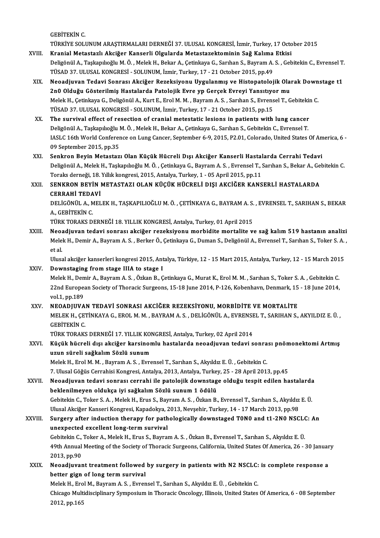GEBİTEKİNC.

TÜRKİYESOLUNUMARAŞTIRMALARIDERNEĞİ37.ULUSALKONGRESİ, İzmir,Turkey,17October 2015

- GEBİTEKİN C.<br>TÜRKİYE SOLUNUM ARAŞTIRMALARI DERNEĞİ 37. ULUSAL KONGRESİ, İzmir, Turkey, 17 Octo<br>XVIII. Kranial Metastazlı Akciğer Kanserli Olgularda Metastazektominin Sağ Kalıma Etkisi TÜRKİYE SOLUNUM ARAŞTIRMALARI DERNEĞİ 37. ULUSAL KONGRESİ, İzmir, Turkey, 17 October 2015<br>Kranial Metastazlı Akciğer Kanserli Olgularda Metastazektominin Sağ Kalıma Etkisi<br>Deligönül A., Taşkapılıoğlu M. Ö. , Melek H., Beka Kranial Metastazlı Akciğer Kanserli Olgularda Metastazektominin Sağ Kalıma<br>Deligönül A., Taşkapılıoğlu M. Ö. , Melek H., Bekar A., Çetinkaya G., Sarıhan S., Bayram A.<br>TÜSAD 37. ULUSAL KONGRESİ - SOLUNUM, İzmir, Turkey, 17 Deligönül A., Taşkapılıoğlu M. Ö. , Melek H., Bekar A., Çetinkaya G., Sarıhan S., Bayram A. S. , Gebitekin C., Evrensel T.<br>TÜSAD 37. ULUSAL KONGRESİ - SOLUNUM, İzmir, Turkey, 17 - 21 October 2015, pp.49<br>XIX. Neoadjuvan Ted
- TÜSAD 37. ULUSAL KONGRESİ SOLUNUM, İzmir, Turkey, 17 21 October 2015, pp.49<br>Neoadjuvan Tedavi Sonrası Akciğer Rezeksiyonu Uygulanmış ve Histopatolojik Ola:<br>2n0 Olduğu Gösterilmiş Hastalarda Patolojik Evre yp Gerçek Evr Neoadjuvan Tedavi Sonrası Akciğer Rezeksiyonu Uygulanmış ve Histopatolojik Olarak Down<br>2n0 Olduğu Gösterilmiş Hastalarda Patolojik Evre yp Gerçek Evreyi Yansıtıyor mu<br>Melek H., Çetinkaya G., Deligönül A., Kurt E., Erol M. 2n0 Olduğu Gösterilmiş Hastalarda Patolojik Evre yp Gerçek Evreyi Yansıtıyor mu<br>Melek H., Çetinkaya G., Deligönül A., Kurt E., Erol M. M. , Bayram A. S. , Sarıhan S., Evrensel T., Gebitekin C<br>TÜSAD 37. ULUSAL KONGRESİ - SO Melek H., Çetinkaya G., Deligönül A., Kurt E., Erol M. M., Bayram A. S., Sarıhan S., Evrensel T., Gebitekin<br>TÜSAD 37. ULUSAL KONGRESİ - SOLUNUM, İzmir, Turkey, 17 - 21 October 2015, pp.15<br>XX. The survival effect of resecti
- TÜSAD 37. ULUSAL KONGRESİ SOLUNUM, İzmir, Turkey, 17 21 October 2015, pp.15<br>The survival effect of resection of cranial metestatic lesions in patients with lung cancer<br>Deligönül A., Taşkapılıoğlu M. Ö. , Melek H., Beka IASLC 16th World Conference on Lung Cancer, September 6-9, 2015, P2.01, Colorado, United States Of America, 6 - 09 September 2015, pp.35 Deligönül A., Taşkapılıoğlu M. Ö., Melek H., Bekar A., Çetinkaya G., Sarıhan S., Gebitekin C., Evrensel T.
- XXI. Senkron Beyin Metastazı Olan Küçük Hücreli Dışı Akciğer Kanserli Hastalarda Cerrahi Tedavi 09 September 2015, pp.35<br>Senkron Beyin Metastazı Olan Küçük Hücreli Dışı Akciğer Kanserli Hastalarda Cerrahi Tedavi<br>Deligönül A., Melek H., Taşkapılıoğlu M. Ö. , Çetinkaya G., Bayram A. S. , Evrensel T., Sarıhan S., Bekar Senkron Beyin Metastazı Olan Küçük Hücreli Dışı Akciğer Kanserli Hastal<br>Deligönül A., Melek H., Taşkapılıoğlu M. Ö. , Çetinkaya G., Bayram A. S. , Evrensel T., :<br>Toraks derneği, 18. Yıllık kongresi, 2015, Antalya, Turkey, Deligönül A., Melek H., Taşkapılıoğlu M. Ö. , Çetinkaya G., Bayram A. S. , Evrensel T., Sarıhan S., Bekar A., Ge<br>Toraks derneği, 18. Yıllık kongresi, 2015, Antalya, Turkey, 1 - 05 April 2015, pp.11<br>XXII. SENKRON BEYİN META

### Toraks derneği, 18.<br>SENKRON BEYİN I<br>CERRAHİ TEDAVİ<br>DELİÇÖNÜL A MEL SENKRON BEYİN METASTAZI OLAN KÜÇÜK HÜCRELİ DIŞI AKCİĞER KANSERLİ HASTALARDA<br>CERRAHİ TEDAVİ<br>DELİGÖNÜL A., MELEK H., TAŞKAPILIOĞLU M. Ö. , ÇETİNKAYA G., BAYRAM A. S. , EVRENSEL T., SARIHAN S., BEKAR<br>A. GERİTEKİN G **CERRAHİ TEDA<br>DELİGÖNÜL A., M<br>A., GEBİTEKİN C.**<br>TÜDK TOBAKS D DELİGÖNÜL A., MELEK H., TAŞKAPILIOĞLU M. Ö. , ÇETİNKAYA G., BAYRAM A. S.<br>A., GEBİTEKİN C.<br>TÜRK TORAKS DERNEĞİ 18. YILLIK KONGRESİ, Antalya, Turkey, 01 April 2015<br>Neoadiyyan tadayi sonrası aksiğer reveksiyony morbidite mort

A., GEBİTEKİN C.<br>TÜRK TORAKS DERNEĞİ 18. YILLIK KONGRESİ, Antalya, Turkey, 01 April 2015<br>XXIII. Neoadjuvan tedavi sonrası akciğer rezeksiyonu morbidite mortalite ve sağ kalım 519 hastanın analizi TÜRK TORAKS DERNEĞİ 18. YILLIK KONGRESİ, Antalya, Turkey, 01 April 2015<br>Neoadjuvan tedavi sonrası akciğer rezeksiyonu morbidite mortalite ve sağ kalım 519 hastanın analizi<br>Melek H., Demir A., Bayram A. S. , Berker Ö., Çeti **Neoa**<br>Mele<br>et al.<br>Uluss Melek H., Demir A., Bayram A. S. , Berker Ö., Çetinkaya G., Duman S., Deligönül A., Evrensel T., Sarıhan S., Toker S. A.<br>et al.<br>Ulusal akciğer kanserleri kongresi 2015, Antalya, Türkiye, 12 - 15 Mart 2015, Antalya, Turkey,

et al.<br>Ulusal akciğer kanserleri kongresi 2015, Ant<br>XXIV. Downstaging from stage IIIA to stage I

Ulusal akciğer kanserleri kongresi 2015, Antalya, Türkiye, 12 - 15 Mart 2015, Antalya, Turkey, 12 - 15 March 2015<br>Downstaging from stage IIIA to stage I<br>Melek H., Demir A., Bayram A.S., Özkan B., Çetinkaya G., Murat K., Er Downstaging from stage IIIA to stage I<br>Melek H., Demir A., Bayram A. S. , Özkan B., Çetinkaya G., Murat K., Erol M. M. , Sarıhan S., Toker S. A. , Gebitekin C.<br>22nd European Society of Thoracic Surgeons, 15-18 June 2014, P Melek H., Den<br>22nd Europea<br>vol.1, pp.189<br>NEOADHIVA 22nd European Society of Thoracic Surgeons, 15-18 June 2014, P-126, Kobenhavn, Denmark, 15<br>vol.1, pp.189<br>XXV. NEOADJUVAN TEDAVİ SONRASI AKCİĞER REZEKSİYONU, MORBİDİTE VE MORTALİTE<br>MELEK H. CETİNKAYA G. EROLM M. PAYRAM A. S

# vol.1, pp.189<br>NEOADJUVAN TEDAVİ SONRASI AKCİĞER REZEKSİYONU, MORBİDİTE VE MORTALİTE<br>MELEK H., ÇETİNKAYA G., EROL M. M. , BAYRAM A. S. , DELİGÖNÜL A., EVRENSEL T., SARIHAN S., AKYILDIZ E. Ü. ,<br>GERİTEKİN G **NEOADJUVA**<br>MELEK H., ÇET<br>GEBİTEKİN C.<br>TÜPK TOPAKS MELEK H., ÇETİNKAYA G., EROL M. M. , BAYRAM A. S. , DELİGÖNÜL A., EVRENSE<br>GEBİTEKİN C.<br>TÜRK TORAKS DERNEĞİ 17. YILLIK KONGRESİ, Antalya, Turkey, 02 April 2014<br>Kügük büspeli dışı aksižer karsinemlu bestalarda nesediyyen ted

# GEBİTEKİN C.<br>TÜRK TORAKS DERNEĞİ 17. YILLIK KONGRESİ, Antalya, Turkey, 02 April 2014<br>XXVI. Küçük hücreli dışı akciğer karsinomlu hastalarda neoadjuvan tedavi sonrası pnömonektomi Artmış<br>1981-cü neve güreli soğlalım Söz TÜRK TORAKS DERNEĞİ 17. YILLIK KONGRESİ, Antalya, Turkey, 02 April 2014<br>Küçük hücreli dışı akciğer karsinomlu hastalarda neoadjuvan tedavi sonra<br>uzun süreli sağkalım Sözlü sunum<br>Melek H., Erol M. M. , Bayram A. S. , Evrens Küçük hücreli dışı akciğer karsinomlu hastalarda neoadjuvan tedavi sonra<br>uzun süreli sağkalım Sözlü sunum<br>Melek H., Erol M. M. , Bayram A. S. , Evrensel T., Sarıhan S., Akyıldız E. Ü. , Gebitekin C.<br>7. Ulusel Cöğüs Carrabi

7. Ulusal Göğüs Cerrahisi Kongresi, Antalya, 2013, Antalya, Turkey, 25 - 28 April 2013, pp.45 Melek H., Erol M. M. , Bayram A. S. , Evrensel T., Sarıhan S., Akyıldız E. Ü. , Gebitekin C.<br>7. Ulusal Göğüs Cerrahisi Kongresi, Antalya, 2013, Antalya, Turkey, 25 - 28 April 2013, pp.45<br>XXVII. Neoadjuvan tedavi sonrası ce

# 7. Ulusal Göğüs Cerrahisi Kongresi, Antalya, 2013, Antalya, Turkey<br>Neoadjuvan tedavi sonrası cerrahi ile patolojik downstag<br>beklenilmeyen oldukça iyi sağkalım Sözlü sunum 1 ödülü<br>Cebitekin C. Teker S.A., Melek H. Erus S. B Neoadjuvan tedavi sonrası cerrahi ile patolojik downstage olduğu tespit edilen hastalarda<br>beklenilmeyen oldukça iyi sağkalım Sözlü sunum 1 ödülü<br>Gebitekin C., Toker S. A. , Melek H., Erus S., Bayram A. S. , Özkan B., Evren beklenilmeyen oldukça iyi sağkalım Sözlü sunum 1 ödülü<br>Gebitekin C., Toker S. A. , Melek H., Erus S., Bayram A. S. , Özkan B., Evrensel T., Sarıhan S., Akyıldız<br>Ulusal Akciğer Kanseri Kongresi, Kapadokya, 2013, Nevşehir, T

# Gebitekin C., Toker S. A. , Melek H., Erus S., Bayram A. S. , Özkan B., Evrensel T., Sarıhan S., Akyıldız E. Ü.<br>Ulusal Akciğer Kanseri Kongresi, Kapadokya, 2013, Nevşehir, Turkey, 14 - 17 March 2013, pp.98<br>XXVIII. Surgery Ulusal Akciğer Kanseri Kongresi, Kapadokya, 2<br>Surgery after induction therapy for path<br>unexpected excellent long-term survival Surgery after induction therapy for pathologically downstaged T0N0 and t1-2N0 NSCL(<br>unexpected excellent long-term survival<br>Gebitekin C., Toker A., Melek H., Erus S., Bayram A. S. , Özkan B., Evrensel T., Sarıhan S., Akyıl

unexpected excellent long-term survival<br>Gebitekin C., Toker A., Melek H., Erus S., Bayram A. S. , Özkan B., Evrensel T., Sarıhan S., Akyıldız E. Ü.<br>49th Annual Meeting of the Society of Thoracic Surgeons, California, Unite Gebitekin C., Toker A., Melek H., Erus S., Bayram A. S., Özkan B., Evrensel T., Sarıhan S., Akyıldız E. Ü. 49th Annual Meeting of the Society of Thoracic Surgeons, California, United States Of America, 26 - 30 Januar<br>2013, pp.90<br>XXIX. Neoadjuvant treatment followed by surgery in patients with N2 NSCLC: is complete response a<br>be

## better gign of long term survival<br>Melek H., Erol M., Bayram A. S. , Evrensel T., Sarıhan S., Akyıldız E. Ü. , Gebitekin C. Neoadjuvant treatment followed by surgery in patients with N2 NSCLC:<br>better gign of long term survival<br>Melek H., Erol M., Bayram A. S. , Evrensel T., Sarıhan S., Akyıldız E. Ü. , Gebitekin C.<br>Chisase Multidissiplinary Symp

better gign of long term survival<br>Melek H., Erol M., Bayram A. S. , Evrensel T., Sarıhan S., Akyıldız E. Ü. , Gebitekin C.<br>Chicago Multidisciplinary Symposium in Thoracic Oncology, Illinois, United States Of America, 6 - 0 Melek H., Ero<br>Chicago Mult<br>2012, pp.165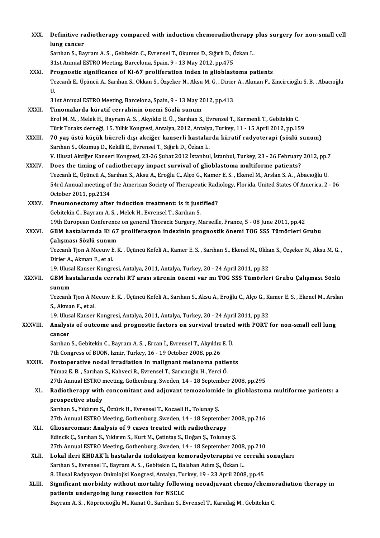| XXX.          | Definitive radiotherapy compared with induction chemoradiotherapy plus surgery for non-small cell<br>lung cancer                                 |
|---------------|--------------------------------------------------------------------------------------------------------------------------------------------------|
|               | Sarıhan S., Bayram A. S., Gebitekin C., Evrensel T., Okumus D., Sığırlı D., Özkan L.                                                             |
|               | 31st Annual ESTRO Meeting, Barcelona, Spain, 9 - 13 May 2012, pp.475                                                                             |
| XXXI.         | Prognostic significance of Ki-67 proliferation index in glioblastoma patients                                                                    |
|               | Tezcanlı E., Üçüncü A., Sarıhan S., Okkan S., Özşeker N., Aksu M. G. , Dirier A., Akman F., Zincircioğlu S. B. , Abacıoğlu<br>U.                 |
|               | 31st Annual ESTRO Meeting, Barcelona, Spain, 9 - 13 May 2012, pp.413                                                                             |
| XXXII.        | Timomalarda küratif cerrahinin önemi Sözlü sunum                                                                                                 |
|               | Erol M. M., Melek H., Bayram A. S., Akyıldız E. Ü., Sarıhan S., Evrensel T., Kermenli T., Gebitekin C.                                           |
|               | Türk Toraks derneği, 15. Yıllık Kongresi, Antalya, 2012, Antalya, Turkey, 11 - 15 April 2012, pp.159                                             |
| <b>XXXIII</b> | 70 yaş üstü küçük hücreli dışı akciğer kanserli hastalarda küratif radyoterapi (sözlü sunum)                                                     |
|               | Sarıhan S., Okumuş D., Kekilli E., Evrensel T., Sığırlı D., Özkan L.                                                                             |
|               | V. Ulusal Akciğer Kanseri Kongresi, 23-26 Şubat 2012 İstanbul, İstanbul, Turkey, 23 - 26 February 2012, pp.7                                     |
| <b>XXXIV</b>  | Does the timing of radiotherapy impact survival of glioblastoma multiforme patients?                                                             |
|               | Tezcanlı E., Üçüncü A., Sarıhan S., Aksu A., Eroğlu C., Alço G., Kamer E. S. , Ekenel M., Arslan S. A. , Abacıoğlu U.                            |
|               | 54rd Annual meeting of the American Society of Therapeutic Radiology, Florida, United States Of America, 2 - 06<br>October 2011, pp 2134         |
| XXXV.         | Pneumonectomy after induction treatment: is it justified?                                                                                        |
|               | Gebitekin C., Bayram A. S., Melek H., Evrensel T., Sarıhan S.                                                                                    |
|               | 19th European Conference on general Thoracic Surgery, Marseille, France, 5 - 08 June 2011, pp.42                                                 |
| XXXVI.        | GBM hastalarında Ki 67 proliferasyon indexinin prognostik önemi TOG SSS Tümörleri Grubu                                                          |
|               | Çalışması Sözlü sunum                                                                                                                            |
|               | Tezcanlı Tjon A Meeuw E.K., Üçüncü Kefeli A., Kamer E.S., Sarıhan S., Ekenel M., Okkan S., Özşeker N., Aksu M.G.,                                |
|               | Dirier A., Akman F., et al.                                                                                                                      |
|               | 19. Ulusal Kanser Kongresi, Antalya, 2011, Antalya, Turkey, 20 - 24 April 2011, pp.32                                                            |
| <b>XXXVII</b> | GBM hastalarında cerrahi RT arası sürenin önemi var mı TOG SSS Tümörleri Grubu Çalışması Sözlü                                                   |
|               | sunum                                                                                                                                            |
|               | Tezcanlı Tjon A Meeuw E. K. , Üçüncü Kefeli A., Sarıhan S., Aksu A., Eroğlu C., Alço G., Kamer E. S. , Ekenel M., Arslan<br>S., Akman F., et al. |
|               | 19. Ulusal Kanser Kongresi, Antalya, 2011, Antalya, Turkey, 20 - 24 April 2011, pp.32                                                            |
| XXXVIII.      | Analysis of outcome and prognostic factors on survival treated with PORT for non-small cell lung<br>cancer                                       |
|               | Sarıhan S., Gebitekin C., Bayram A. S., Ercan İ., Evrensel T., Akyıldız E. Ü.                                                                    |
|               | 7th Congress of BUON, İzmir, Turkey, 16 - 19 October 2008, pp.26                                                                                 |
| XXXIX.        | Postoperative nodal irradiation in malignant melanoma patients                                                                                   |
|               | Yılmaz E. B., Sarıhan S., Kahveci R., Evrensel T., Sarıcaoğlu H., Yerci Ö.                                                                       |
|               | 27th Annual ESTRO meeting, Gothenburg, Sweden, 14 - 18 September 2008, pp.295                                                                    |
| XL.           | Radiotherapy with concomitant and adjuvant temozolomide in glioblastoma multiforme patients: a                                                   |
|               | prospective study                                                                                                                                |
|               | Sarıhan S., Yıldırım S., Öztürk H., Evrensel T., Kocaeli H., Tolunay Ş.                                                                          |
| XLI.          | 27th Annual ESTRO Meeting, Gothenburg, Sweden, 14 - 18 September 2008, pp.216<br>Gliosarcomas: Analysis of 9 cases treated with radiotherapy     |
|               | Edincik Ç., Sarıhan S., Yıldırım S., Kurt M., Çetintaş S., Doğan Ş., Tolunay Ş.                                                                  |
|               | 27th Annual ESTRO Meeting, Gothenburg, Sweden, 14 - 18 September 2008, pp.210                                                                    |
| XLII.         | Lokal ileri KHDAK'li hastalarda indüksiyon kemoradyoterapisi ve cerrahi sonuçları                                                                |
|               | Sarıhan S., Evrensel T., Bayram A. S., Gebitekin C., Balaban Adım Ş., Özkan L.                                                                   |
|               | 8. Ulusal Radyasyon Onkolojisi Kongresi, Antalya, Turkey, 19 - 23 April 2008, pp.45                                                              |
| XLIII.        | Significant morbidity without mortality following neoadjuvant chemo/chemoradiation therapy in                                                    |
|               | patients undergoing lung resection for NSCLC                                                                                                     |
|               | Bayram A. S., Köprücüoğlu M., Kanat Ö., Sarıhan S., Evrensel T., Karadağ M., Gebitekin C.                                                        |
|               |                                                                                                                                                  |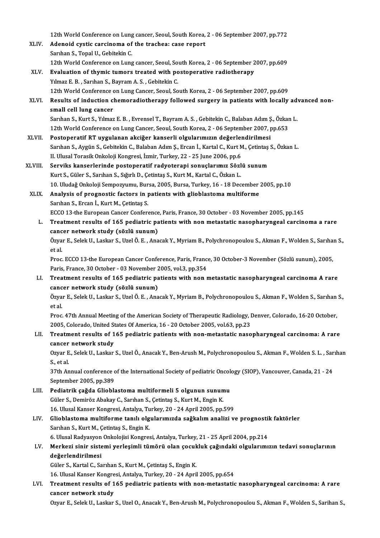12th World Conference on Lung cancer, Seoul, South Korea, 2 - 06 September 2007, pp.772<br>Adenaid systic cancinoms of the trackees sase report

- XLIV. Adenoid cystic carcinoma of the trachea: case report 12th World Conference on Lung<br>Adenoid cystic carcinoma of<br>Sarıhan S., Topal U., Gebitekin C.<br>12th World Conference on Lung Adenoid cystic carcinoma of the trachea: case report<br>Sarıhan S., Topal U., Gebitekin C.<br>12th World Conference on Lung cancer, Seoul, South Korea, 2 - 06 September 2007, pp.609<br>Evaluation of thumis tumors trasted with posto
- XLV. Evaluation of thymic tumors treated with postoperative radiotherapy<br>
Yilmaz E. B., Sarihan S., Bayram A. S., Gebitekin C. 12th World Conference on Lung cancer, Seoul, So<br>**Evaluation of thymic tumors treated with po**<br>Yılmaz E. B. , Sarıhan S., Bayram A. S. , Gebitekin C.<br>12th World Conference on Lung Cancer, Seoul, Se Evaluation of thymic tumors treated with postoperative radiotherapy<br>12th World Conference on Lung Cancer, Seoul, South Korea, 2 - 06 September 2007, pp.609<br>Pesults of industion shamoradiotherany followed surgery in patient Yılmaz E. B. , Sarıhan S., Bayram A. S. , Gebitekin C.<br>12th World Conference on Lung Cancer, Seoul, South Korea, 2 - 06 September 2007, pp.609<br>XLVI. Results of induction chemoradiotherapy followed surgery in patients with
- 12th World Conference of<br>Results of induction class<br>small cell lung cancer<br>Samban S. Kunt S. Vilman Results of induction chemoradiotherapy followed surgery in patients with locally advanall cell lung cancer<br>Sarıhan S., Kurt S., Yılmaz E. B. , Evrensel T., Bayram A. S. , Gebitekin C., Balaban Adım Ş., Özkan L.<br>12th Werld small cell lung cancer<br>Sarıhan S., Kurt S., Yılmaz E. B. , Evrensel T., Bayram A. S. , Gebitekin C., Balaban Adım Ş., Özkan L.<br>12th World Conference on Lung Cancer, Seoul, South Korea, 2 - 06 September 2007, pp.653
- XLVII. Postoperatif RT uygulanan akciğer kanserli olgularımızın değerlendirilmesi 12th World Conference on Lung Cancer, Seoul, South Korea, 2 - 06 September 2007, pp.653<br>Postoperatif RT uygulanan akciğer kanserli olgularımızın değerlendirilmesi<br>Sarıhan S., Aygün S., Gebitekin C., Balaban Adım Ş., Ercan Postoperatif RT uygulanan akciğer kanserli olgularımızın değerler<br>Sarıhan S., Aygün S., Gebitekin C., Balaban Adım Ş., Ercan İ., Kartal C., Kurt M<br>II. Ulusal Torasik Onkoloji Kongresi, İzmir, Turkey, 22 - 25 June 2006, pp. Sarıhan S., Aygün S., Gebitekin C., Balaban Adım Ş., Ercan İ., Kartal C., Kurt M., Çetintaş<br>II. Ulusal Torasik Onkoloji Kongresi, İzmir, Turkey, 22 - 25 June 2006, pp.6<br>XLVIII. Serviks kanserlerinde postoperatif radyoterap
- II. Ulusal Torasik Onkoloji Kongresi, İzmir, Turkey, 22 25 June 2006, pp.6<br>Serviks kanserlerinde postoperatif radyoterapi sonuçlarımız Sözl<br>Kurt S., Güler S., Sarıhan S., Sığırlı D., Çetintaş S., Kurt M., Kartal C., Özka Serviks kanserlerinde postoperatif radyoterapi sonuçlarımız Sözlü sunum<br>10. Kurts., Güler S., Sarıhan S., Sığırlı D., Çetintaş S., Kurt M., Kartal C., Özkan L.<br>10. Uludağ Onkoloji Sempozyumu, Bursa, 2005, Bursa, Turkey, 16 Kurt S., Güler S., Sarıhan S., Sığırlı D., Çetintaş S., Kurt M., Kartal C., Özkan L.<br>10. Uludağ Onkoloji Sempozyumu, Bursa, 2005, Bursa, Turkey, 16 - 18 December<br>XLIX. Analysis of prognostic factors in patients with gliobl
	- 10. Uludağ Onkoloji Sempozyumu, Bur<br>Analysis of prognostic factors in p<br>Sarıhan S., Ercan İ., Kurt M., Çetintaş S.<br>ECCO 12 the European Cancer Confort Analysis of prognostic factors in patients with glioblastoma multiforme<br>Sarıhan S., Ercan İ., Kurt M., Çetintaş S.<br>ECCO 13-the European Cancer Conference, Paris, France, 30 October - 03 November 2005, pp.145<br>Treatment resu
		- Sarıhan S., Ercan İ., Kurt M., Çetintaş S.<br>ECCO 13-the European Cancer Conference, Paris, France, 30 October 03 November 2005, pp.145<br>L. Treatment results of 165 pediatric patients with non metastatic nasopharyngeal carc ECCO 13-the European Cancer Conference<br>Treatment results of 165 pediatric pa<br>cancer network study (sözlü sunum)<br>Ömer E. Solek II. Laskar S. Uzel Ö. E. Ana Treatment results of 165 pediatric patients with non metastatic nasopharyngeal carcinoma a rare<br>cancer network study (sözlü sunum)<br>Özyar E., Selek U., Laskar S., Uzel Ö. E. , Anacak Y., Myriam B., Polychronopoulou S., Akma <mark>canc</mark><br>Özya<br>et al.

Özyar E., Selek U., Laskar S., Uzel Ö. E. , Anacak Y., Myriam B., Polychronopoulou S., Akman F., Wolden S., Sarıha<br>et al.<br>Proc. ECCO 13-the European Cancer Conference, Paris, France, 30 October-3 November (Sözlü sunum), 20 et al.<br>Proc. ECCO 13-the European Cancer Conference, Paris, France, 30 October-3 November (Sözlü sunum), 2005,<br>Paris, France, 30 October - 03 November 2005, vol.3, pp.354

Proc. ECCO 13-the European Cancer Conference, Paris, France, 30 October-3 November (Sözlü sunum), 2005,<br>Paris, France, 30 October - 03 November 2005, vol.3, pp.354<br>LI. Treatment results of 165 pediatric patients with non m Paris, France, 30 October - 03 November 2<br>Treatment results of 165 pediatric pa<br>cancer network study (sözlü sunum)<br>Ömer E. Selek II. Leeker S. Hrel Ö. E. Ane Treatment results of 165 pediatric patients with non metastatic nasopharyngeal carcinoma A rare<br>cancer network study (sözlü sunum)<br>Özyar E., Selek U., Laskar S., Uzel Ö. E. , Anacak Y., Myriam B., Polychronopoulou S., Akma

<mark>canc</mark><br>Özya<br>et al. Özyar E., Selek U., Laskar S., Uzel Ö. E. , Anacak Y., Myriam B., Polychronopoulou S., Akman F., Wolden S., Sarıhan<br>et al.<br>Proc. 47th Annual Meeting of the American Society of Therapeutic Radiology, Denver, Colorado, 16-20

et al.<br>Proc. 47th Annual Meeting of the American Society of Therapeutic Radiology, I<br>2005, Colorado, United States Of America, 16 - 20 October 2005, vol.63, pp.23<br>Treatment results of 165 podiatric patients with non-matest

## Proc. 47th Annual Meeting of the American Society of Therapeutic Radiology, Denver, Colorado, 16-20 October,<br>2005, Colorado, United States Of America, 16 - 20 October 2005, vol.63, pp.23<br>LII. Treatment results of 165 pedia 2005, Colorado, United St<br>Treatment results of 1<br>cancer network study<br>Ower E. Selek II, Laskar Treatment results of 165 pediatric patients with non-metastatic nasopharyngeal carcinoma: A rare<br>cancer network study<br>Ozyar E., Selek U., Laskar S., Uzel Ö., Anacak Y., Ben-Arush M., Polychronopoulou S., Akman F., Wolden S

cancer<br>Ozyar E<br>S., et al. Ozyar E., Selek U., Laskar S., Uzel Ö., Anacak Y., Ben-Arush M., Polychronopoulou S., Akman F., Wolden S. L. , Sar<br>S., et al.<br>37th Annual conference of the International Society of pediatric Oncology (SIOP), Vancouver, Can

S., et al.<br>37th Annual conference<br>September 2005, pp.389 37th Annual conference of the International Society of pediatric Oncology (SIOP), Vancouver, Canada, 21 - 24<br>September 2005, pp.389<br>LIII. Pediatrik çağda Glioblastoma multiformeli 5 olgunun sunumu<br>Güler S., Demiröz Abakay

Pediatrik çağda Glioblastoma multiformeli 5 olgunun sunumu Pediatrik çağda Glioblastoma multiformeli 5 olgunun sunumu<br>Güler S., Demiröz Abakay C., Sarıhan S., Çetintaş S., Kurt M., Engin K.<br>16. Ulusal Kanser Kongresi, Antalya, Turkey, 20 - 24 April 2005, pp.599<br>Glioblastoma multif Güler S., Demiröz Abakay C., Sarıhan S., Çetintaş S., Kurt M., Engin K.<br>16. Ulusal Kanser Kongresi, Antalya, Turkey, 20 - 24 April 2005, pp.599<br>LIV. Glioblastoma multiforme tanılı olgularımızda sağkalım analizi ve prog

# 16. Ulusal Kanser Kongresi, Antalya, Tu<br>Glioblastoma multiforme tanılı olg<br>Sarıhan S., Kurt M., Çetintaş S., Engin K.<br>6. Ulusal Badyasyon Onkolojisi Kongres 6.<br>Sarıhan S., Kurt M., Çetintaş S., Engin K.<br>6. Ulusal Radyasyon Onkolojisi Kongresi, Antalya, Turkey, 21 - 25 April 2004, pp.214<br>Merkezi sinin sistemi verkesinli tümörü olan sesukluk sağındaki olsulanmu Sarıhan S., Kurt M., Çetintaş S., Engin K.<br>6. Ulusal Radyasyon Onkolojisi Kongresi, Antalya, Turkey, 21 - 25 April 2004, pp.214<br>1. Merkezi sinir sistemi yerleşimli tümörü olan çocukluk çağındaki olgularımızın tedavi sonuçl

## 6. Ulusal Radyasyon Onkolojisi Kongresi, Antalya, Turkey, 21 - 25 April 2004, pp.214<br>Merkezi sinir sistemi yerleşimli tümörü olan çocukluk çağındaki olgularımı<br>değerlendirilmesi<br>Güler S., Kartal C., Sarıhan S., Kurt M., Çe Merkezi sinir sistemi yerleşimli tümörü olan çocuk<br>değerlendirilmesi<br>Güler S., Kartal C., Sarıhan S., Kurt M., Çetintaş S., Engin K.<br>16 Ulucal Kansar Kansresi, Antalya, Turkey, 20,, 24 Anril değerlendirilmesi<br>Güler S., Kartal C., Sarıhan S., Kurt M., Çetintaş S., Engin K.<br>16. Ulusal Kanser Kongresi, Antalya, Turkey, 20 - 24 April 2005, pp.654<br>Treatment resulta of 165 nodistris patients with non metestatis

## LVI. Treatment results of 165 pediatric patients with non-metastatic nasopharyngeal carcinoma: A rare 16. Ulusal Kanser Kongre<br>Treatment results of 1<br>cancer network study<br>Ower E. Selek II, Laskar

Ozyar E., Selek U., Laskar S., Uzel O., Anacak Y., Ben-Arush M., Polychronopoulou S., Akman F., Wolden S., Sarihan S.,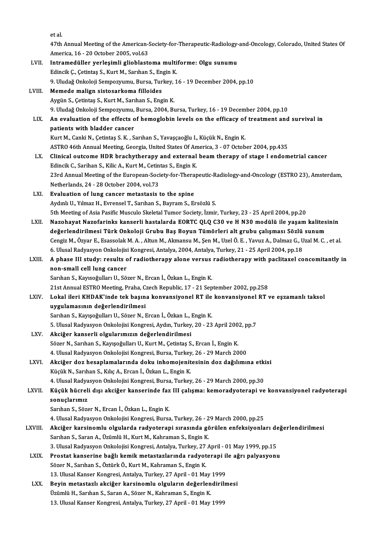etal.

et al.<br>47th Annual Meeting of the American-Society-for-Therapeutic-Radiology-and-Oncology, Colorado, United States Of<br>America, 16, 20 October 2005, vol.62 et al.<br>47th Annual Meeting of the American-S<br>America, 16 - 20 October 2005, vol.63<br>Intramedüller verlesimli glishlaste

47th Annual Meeting of the American-Society-for-Therapeutic-Radiology-<br>America, 16 - 20 October 2005, vol.63<br>LVII. Intramedüller yerleşimli glioblastoma multiforme: Olgu sunumu<br>Felingik C. Cotintos S. Kurt M. Sorthan S. En America, 16 - 20 October 2005, vol.63<br>Intramedüller yerleşimli glioblastoma multi<br>Edincik Ç., Çetintaş S., Kurt M., Sarıhan S., Engin K.<br>9. Uludağ Onkoloji Samperuyun, Bursa Turkay 1 Intramedüller yerleşimli glioblastoma multiforme: Olgu sunumu<br>Edincik Ç., Çetintaş S., Kurt M., Sarıhan S., Engin K.<br>9. Uludağ Onkoloji Sempozyumu, Bursa, Turkey, 16 - 19 December 2004, pp.10<br>Memode malian sisteserkema fil Edincik Ç., Çetintaş S., Kurt M., Sarıhan S., Engin K.<br>9. Uludağ Onkoloji Sempozyumu, Bursa, Turkey, 1<br>LVIII. Memede malign sistosarkoma filloides<br>Aygün S., Çetintaş S., Kurt M., Sarıhan S., Engin K. 9. Uludağ Onkoloji Sempozyumu, Bursa, Turkey,<br>Memede malign sistosarkoma filloides<br>Aygün S., Çetintaş S., Kurt M., Sarıhan S., Engin K.<br>9. Uludağ Onkoloji Sampozuumu, Bursa, 2004, P. 9.UludağOnkolojiSempozyumu,Bursa,2004,Bursa,Turkey,16 -19December 2004,pp.10 Aygün S., Çetintaş S., Kurt M., Sarıhan S., Engin K.<br>9. Uludağ Onkoloji Sempozyumu, Bursa, 2004, Bursa, Turkey, 16 - 19 December 2004, pp.10<br>LIX. An evaluation of the effects of hemoglobin levels on the efficacy of tre 9. Uludağ Onkoloji Sempozyumu,<br>An evaluation of the effects o<br>patients with bladder cancer An evaluation of the effects of hemoglobin levels on the efficacy of<br>patients with bladder cancer<br>Kurt M., Canki N., Çetintaş S.K. , Sarıhan S., Yavaşçaoğlu I., Küçük N., Engin K.<br>ASTPO 46th Annual Meeting Coorgia United S patients with bladder cancer<br>Kurt M., Canki N., Çetintaş S. K. , Sarıhan S., Yavaşçaoğlu I., Küçük N., Engin K.<br>ASTRO 46th Annual Meeting, Georgia, United States Of America, 3 - 07 October 2004, pp.435 Kurt M., Canki N., Çetintaş S. K. , Sarıhan S., Yavaşçaoğlu I., Küçük N., Engin K.<br>ASTRO 46th Annual Meeting, Georgia, United States Of America, 3 - 07 October 2004, pp.435<br>LX. Clinical outcome HDR brachytherapy and extern ASTRO 46th Annual Meeting, Georgia, United States Of An<br>Clinical outcome HDR brachytherapy and external<br>Edincik C., Sarihan S., Kilic A., Kurt M., Cetintas S., Engin K.<br>22rd Annual Meeting of the European Society for There Clinical outcome HDR brachytherapy and external beam therapy of stage I endometrial cancer<br>Edincik C., Sarihan S., Kilic A., Kurt M., Cetintas S., Engin K.<br>23rd Annual Meeting of the European-Society-for-Therapeutic-Radiol Edincik C., Sarihan S., Kilic A., Kurt M., Cetintas S., Engin K.<br>23rd Annual Meeting of the European-Society-for-Therapeutic-Radiology-and-Oncology (ESTRO 23), Amsterdam,<br>Netherlands, 24 - 28 October 2004, vol.73 LXI. Evaluation of lung cancer metastasis to the spine Aydınlı U., Yılmaz H., Evrensel T., Sarıhan S., Bayram S., Ersözlü S. 5th Meeting of Asia Pasific Musculo Skeletal Tumor Society, İzmir, Turkey, 23 - 25 April 2004, pp.20 Aydınlı U., Yılmaz H., Evrensel T., Sarıhan S., Bayram S., Ersözlü S.<br>5th Meeting of Asia Pasific Musculo Skeletal Tumor Society, İzmir, Turkey, 23 - 25 April 2004, pp.20<br>1.XII. Nazohayat Nazofarinks kanserli hastalarda EO 5th Meeting of Asia Pasific Musculo Skeletal Tumor Society, İzmir, Turkey, 23 - 25 April 2004, pp.20<br>Nazohayat Nazofarinks kanserli hastalarda EORTC QLQ C30 ve H N30 modülü ile yaşam kalites<br>değerlendirilmesi Türk Onkoloji Nazohayat Nazofarinks kanserli hastalarda EORTC QLQ C30 ve H N30 modülü ile yaşam kalitesinin<br>değerlendirilmesi Türk Onkoloji Grubu Baş Boyun Tümörleri alt grubu çalışması Sözlü sunum<br>Cengiz M., Özyar E., Esassolak M. A. , değerlendirilmesi Türk Onkoloji Grubu Baş Boyun Tümörleri alt grubu çalışması Sözlü<br>Cengiz M., Özyar E., Esassolak M. A. , Altun M., Akmansu M., Şen M., Uzel Ö. E. , Yavuz A., Dalmaz G., U<br>6. Ulusal Radyasyon Onkolojisi Ko Cengiz M., Özyar E., Esassolak M. A. , Altun M., Akmansu M., Şen M., Uzel Ö. E. , Yavuz A., Dalmaz G., Uzal M. C. , et al.<br>6. Ulusal Radyasyon Onkolojisi Kongresi, Antalya, 2004, Antalya, Turkey, 21 - 25 April 2004, pp.18<br> 6. Ulusal Radyasyon Onkolojisi Kongresi, Antalya, 2004, Antalya, Turkey, 21 - 25 April 2004, pp.18<br>A phase III study: results of radiotherapy alone versus radiotherapy with paclitaxel conn-small cell lung cancer<br>Sarıhan S. A phase III study: results of radiotherapy alone versus radiotherapy with paclitaxel concomitantly in 21st Annual ESTRO Meeting, Praha, Czech Republic, 17 - 21 September 2002, pp.258 Sarıhan S., Kayısoğulları U., Sözer N., Ercan İ., Özkan L., Engin K.<br>21st Annual ESTRO Meeting, Praha, Czech Republic, 17 - 21 September 2002, pp.258<br>LXIV. Lokal ileri KHDAK'inde tek başına konvansiyonel RT ile konvans 21st Annual ESTRO Meeting, Praha, C.<br>Lokal ileri KHDAK'inde tek başın<br>uygulamasının değerlendirilmesi<br>Sarıban S. Kauseğulları II. Sözer N. I Lokal ileri KHDAK'inde tek başına konvansiyonel RT ile<br>uygulamasının değerlendirilmesi<br>Sarıhan S., Kayışoğulları U., Sözer N., Ercan İ., Özkan L., Engin K.<br>E. Ulusel Badyasyon Onkelejisi Konsresi, Aydın Turkey, 20, 22 uygulamasının değerlendirilmesi<br>Sarıhan S., Kayışoğulları U., Sözer N., Ercan İ., Özkan L., Engin K.<br>5. Ulusal Radyasyon Onkolojisi Kongresi, Aydın, Turkey, 20 - 23 April 2002, pp.7<br>Aksižen kansenli olsularımısın değerlend Sarıhan S., Kayışoğulları U., Sözer N., Ercan İ., Özkan L., I<br>5. Ulusal Radyasyon Onkolojisi Kongresi, Aydın, Turkey<br>LXV. Akciğer kanserli olgularımızın değerlendirilmesi<br>5. Sözer N. Sarıhan S. Kayışoğulları II. Kurt M 5. Ulusal Radyasyon Onkolojisi Kongresi, Aydın, Turkey, 20 - 23 April 200<br><mark>Akciğer kanserli olgularımızın değerlendirilmesi</mark><br>Sözer N., Sarıhan S., Kayışoğulları U., Kurt M., Çetintaş S., Ercan İ., Engin K.<br>4. Ulusal Badyas Akciğer kanserli olgularımızın değerlendirilmesi<br>Sözer N., Sarıhan S., Kayışoğulları U., Kurt M., Çetintaş S., Ercan İ., Engin K.<br>4. Ulusal Radyasyon Onkolojisi Kongresi, Bursa, Turkey, 26 - 29 March 2000<br>Aksižer dev besen Sözer N., Sarıhan S., Kayışoğulları U., Kurt M., Çetintaş S., Ercan İ., Engin K.<br>4. Ulusal Radyasyon Onkolojisi Kongresi, Bursa, Turkey, 26 - 29 March 2000<br>LXVI. **Akciğer doz hesaplamalarında doku inhomojenitesinin doz** 4. Ulusal Radyasyon Onkolojisi Kongresi, Bursa, Turkey<br><mark>Akciğer doz hesaplamalarında doku inhomojenit</mark><br>Küçük N., Sarıhan S., Kılıç A., Ercan İ., Özkan L., Engin K.<br>4. Ulusal Badyasyon Onkolojisi Kongresi, Bursa, Turkey Akciğer doz hesaplamalarında doku inhomojenitesinin doz dağılımına etki<br>Küçük N., Sarıhan S., Kılıç A., Ercan İ., Özkan L., Engin K.<br>4. Ulusal Radyasyon Onkolojisi Kongresi, Bursa, Turkey, 26 - 29 March 2000, pp.30<br>Küçük b Küçük N., Sarıhan S., Kılıç A., Ercan İ., Özkan L., Engin K.<br>4. Ulusal Radyasyon Onkolojisi Kongresi, Bursa, Turkey, 26 - 29 March 2000, pp.30<br>2. Küçük hücreli dışı akciğer kanserinde faz III çalışma: kemoradyoterapi ve ko 4. Ulusal Radya<br><mark>Küçük hücrel</mark><br>sonuçlarımız<br><sup>Sombon S. Söz</sup> Küçük hücreli dışı akciğer kanserinde faz<br>sonuçlarımız<br>Sarıhan S., Sözer N., Ercan İ., Özkan L., Engin K.<br>4. Ulusal Padyasyon Onkolojisi Konstasi Bursa sonuçlarımız<br>Sarıhan S., Sözer N., Ercan İ., Özkan L., Engin K.<br>4. Ulusal Radyasyon Onkolojisi Kongresi, Bursa, Turkey, 26 - 29 March 2000, pp.25<br>Aksiğer karsinemlu, olaylarda radyatarani synsynda görülen enfeksiyenle Sarıhan S., Sözer N., Ercan İ., Özkan L., Engin K.<br>4. Ulusal Radyasyon Onkolojisi Kongresi, Bursa, Turkey, 26 - 29 March 2000, pp.25<br>1. LXVIII. Akciğer karsinomlu olgularda radyoterapi sırasında görülen enfeksiyonları 4. Ulusal Radyasyon Onkolojisi Kongresi, Bursa, Turkey, 26 - 2<br>**Akciğer karsinomlu olgularda radyoterapi sırasında gö**<br>Sarıhan S., Saran A., Üzümlü H., Kurt M., Kahraman S., Engin K.<br><sup>2. Ulugal Badyasyon Onkolojisi Kongres</sup> Akciğer karsinomlu olgularda radyoterapi sırasında görülen enfeksiyonları de<br>Sarıhan S., Saran A., Üzümlü H., Kurt M., Kahraman S., Engin K.<br>3. Ulusal Radyasyon Onkolojisi Kongresi, Antalya, Turkey, 27 April - 01 May 1999, Sarıhan S., Saran A., Üzümlü H., Kurt M., Kahraman S., Engin K.<br>3. Ulusal Radyasyon Onkolojisi Kongresi, Antalya, Turkey, 27 April - 01 May 1999, pp.15<br>LXIX. Prostat kanserine bağlı kemik metastazlarında radyoterapi ile ağ 3. Ulusal Radyasyon Onkolojisi Kongresi, Antalya, Turkey, 27 April - 01 May 1999, pp.15<br>Prostat kanserine bağlı kemik metastazlarında radyoterapi ile ağrı palyasyon<br>Sözer N., Sarıhan S., Öztürk Ö., Kurt M., Kahraman S., En Prostat kanserine bağlı kemik metastazlarında radyoterapi il<br>Sözer N., Sarıhan S., Öztürk Ö., Kurt M., Kahraman S., Engin K.<br>13. Ulusal Kanser Kongresi, Antalya, Turkey, 27 April - 01 May 1999<br>Boyin metastarlı aksiğen kans Sözer N., Sarıhan S., Öztürk Ö., Kurt M., Kahraman S., Engin K.<br>13. Ulusal Kanser Kongresi, Antalya, Turkey, 27 April - 01 May 1999<br>LXX. Beyin metastazlı akciğer karsinomlu olguların değerlendirilmesi<br><sup>İlmimli</sup> H. Sarıhan 13. Ulusal Kanser Kongresi, Antalya, Turkey, 27 April - 01 May<br>Beyin metastazlı akciğer karsinomlu olguların değerlen<br>Üzümlü H., Sarıhan S., Saran A., Sözer N., Kahraman S., Engin K.<br>13. Ulusal Kanser Kansresi, Antalya Tur Beyin metastazlı akciğer karsinomlu olguların değerlendirilmesi<br>Üzümlü H., Sarıhan S., Saran A., Sözer N., Kahraman S., Engin K.<br>13. Ulusal Kanser Kongresi, Antalya, Turkey, 27 April - 01 May 1999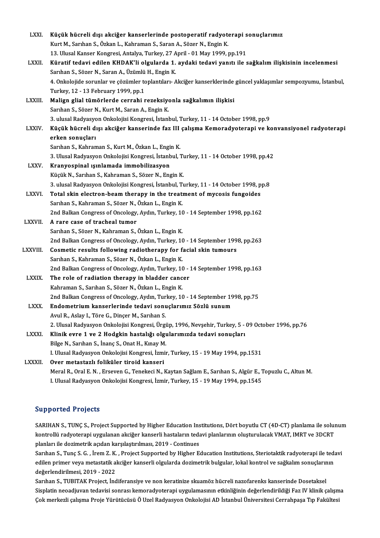| LXXI.          | Küçük hücreli dışı akciğer kanserlerinde postoperatif radyoterapi sonuçlarımız                                   |
|----------------|------------------------------------------------------------------------------------------------------------------|
|                | Kurt M., Sarıhan S., Özkan L., Kahraman S., Saran A., Sözer N., Engin K.                                         |
|                | 13. Ulusal Kanser Kongresi, Antalya, Turkey, 27 April - 01 May 1999, pp.191                                      |
| LXXII.         | Küratif tedavi edilen KHDAK'li olgularda 1. aydaki tedavi yanıtı ile sağkalım ilişkisinin incelenmesi            |
|                | Sarıhan S., Sözer N., Saran A., Üzümlü H., Engin K.                                                              |
|                | 4. Onkolojide sorunlar ve çözümler toplantıları- Akciğer kanserklerinde güncel yaklaşımlar sempozyumu, İstanbul, |
|                | Turkey, 12 - 13 February 1999, pp.1                                                                              |
| LXXIII.        | Malign glial tümörlerde cerrahi rezeksiyonla sağkalımın ilişkisi                                                 |
|                | Sarıhan S., Sözer N., Kurt M., Saran A., Engin K.                                                                |
|                | 3. ulusal Radyasyon Onkolojisi Kongresi, İstanbul, Turkey, 11 - 14 October 1998, pp.9                            |
| <b>LXXIV</b>   | Küçük hücreli dışı akciğer kanserinde faz III çalışma Kemoradyoterapi ve konvansiyonel radyoterapi               |
|                | erken sonuçları                                                                                                  |
|                | Sarıhan S., Kahraman S., Kurt M., Özkan L., Engin K.                                                             |
|                | 3. Ulusal Radyasyon Onkolojisi Kongresi, İstanbul, Turkey, 11 - 14 October 1998, pp.42                           |
| <b>LXXV</b>    | Kranyospinal ışınlamada immobilizasyon                                                                           |
|                | Küçük N., Sarıhan S., Kahraman S., Sözer N., Engin K.                                                            |
|                | 3. ulusal Radyasyon Onkolojisi Kongresi, İstanbul, Turkey, 11 - 14 October 1998, pp.8                            |
| LXXVI.         | Total skin electron-beam therapy in the treatment of mycosis fungoides                                           |
|                | Sarıhan S., Kahraman S., Sözer N., Özkan L., Engin K.                                                            |
|                | 2nd Balkan Congress of Oncology, Aydın, Turkey, 10 - 14 September 1998, pp.162                                   |
| <b>LXXVII.</b> | A rare case of tracheal tumor                                                                                    |
|                | Sarıhan S., Sözer N., Kahraman S., Özkan L., Engin K.                                                            |
|                | 2nd Balkan Congress of Oncology, Aydın, Turkey, 10 - 14 September 1998, pp.263                                   |
| LXXVIII.       | Cosmetic results following radiotherapy for facial skin tumours                                                  |
|                | Sarıhan S., Kahraman S., Sözer N., Özkan L., Engin K.                                                            |
|                | 2nd Balkan Congress of Oncology, Aydın, Turkey, 10 - 14 September 1998, pp 163                                   |
| <b>LXXIX</b>   | The role of radiation therapy in bladder cancer                                                                  |
|                | Kahraman S., Sarıhan S., Sözer N., Özkan L., Engin K.                                                            |
|                | 2nd Balkan Congress of Oncology, Aydın, Turkey, 10 - 14 September 1998, pp.75                                    |
| <b>LXXX</b>    | Endometrium kanserlerinde tedavi sonuçlarımız Sözlü sunum                                                        |
|                | Avul R., Aslay I., Töre G., Dinçer M., Sarıhan S.                                                                |
|                | 2. Ulusal Radyasyon Onkolojisi Kongresi, Ürgüp, 1996, Nevşehir, Turkey, 5 - 09 October 1996, pp.76               |
| <b>LXXXI</b>   | Klinik evre 1 ve 2 Hodgkin hastalığı olgularımızda tedavi sonuçları                                              |
|                | Bilge N., Sarıhan S., İnanç S., Onat H., Kınay M.                                                                |
|                | I. Ulusal Radyasyon Onkolojisi Kongresi, İzmir, Turkey, 15 - 19 May 1994, pp.1531                                |
| LXXXII.        | Over metastazlı foliküler tiroid kanseri                                                                         |
|                | Meral R., Oral E. N., Erseven G., Tenekeci N., Kaytan Sağlam E., Sarıhan S., Algür E., Topuzlu C., Altun M.      |
|                | I. Ulusal Radyasyon Onkolojisi Kongresi, İzmir, Turkey, 15 - 19 May 1994, pp.1545                                |

#### Supported Projects

Supported Projects<br>SARIHAN S., TUNÇ S., Project Supported by Higher Education Institutions, Dört boyutlu CT (4D-CT) planlama ile solunum<br>kontrellü redvetereni uygularen eksiğer karserli bestelerin tedevi planlarının elustu Bupportedi Frojeces<br>SARIHAN S., TUNÇ S., Project Supported by Higher Education Institutions, Dört boyutlu CT (4D-CT) planlama ile solui<br>kontrollü radyoterapi uygulanan akciğer kanserli hastaların tedavi planlarının oluştur SARIHAN S., TUNÇ S., Project Supported by Higher Education Ins<br>kontrollü radyoterapi uygulanan akciğer kanserli hastaların teda<br>planları ile dozimetrik açıdan karşılaştırılması, 2019 - Continues<br>Sarıban S. Tune S.C., İram kontrollü radyoterapi uygulanan akciğer kanserli hastaların tedavi planlarının oluşturulacak VMAT, IMRT ve 3DCRT<br>planları ile dozimetrik açıdan karşılaştırılması, 2019 - Continues<br>Sarıhan S., Tunç S. G. , İrem Z. K. , Proj

planları ile dozimetrik açıdan karşılaştırılması, 2019 - Continues<br>Sarıhan S., Tunç S. G. , İrem Z. K. , Project Supported by Higher Education Institutions, Steriotaktik radyoterapi ile tedavi<br>edilen primer veya metastatik değerlendirilmesi,2019 -2022

Sarıhan S., TUBITAK Project, İndiferansiye ve non keratinize skuamöz hücreli nazofarenks kanserinde Dosetaksel değerlendirilmesi, 2019 - 2022<br>Sarıhan S., TUBITAK Project, İndiferansiye ve non keratinize skuamöz hücreli nazofarenks kanserinde Dosetaksel<br>Sisplatin neoadjuvan tedavisi sonrası kemoradyoterapi uygulamasının etkinliğinin Sarıhan S., TUBITAK Project, İndiferansiye ve non keratinize skuamöz hücreli nazofarenks kanserinde Dosetaksel<br>Sisplatin neoadjuvan tedavisi sonrası kemoradyoterapi uygulamasının etkinliğinin değerlendirildiği Faz IV klini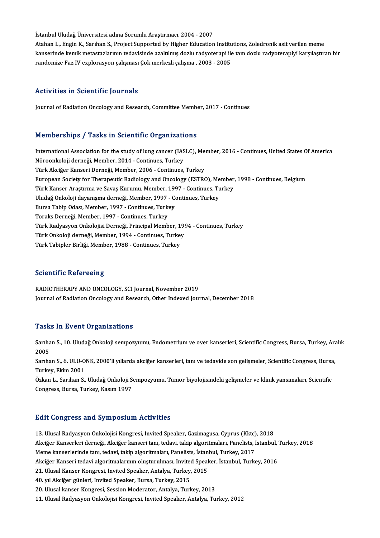İstanbul Uludağ Üniversitesi adına Sorumlu Araştırmacı, 2004 - 2007 Atahan L., Engin K., Sarıhan S., Project Supported by Higher Education Institutions, Zoledronik asit verilen meme kanserinde kemik metastazlarının tedavisinde azaltılmış dozlu radyoterapi ile tam dozlu radyoterapiyi karşılaştıran bir randomize Faz IV explorasyon çalışması Çok merkezli çalışma , 2003 - 2005

#### Activities in Scientific Journals

Journal of Radiation Oncology and Research, Committee Member, 2017 - Continues

#### Memberships / Tasks in Scientific Organizations

Memberships / Tasks in Scientific Organizations<br>International Association for the study of lung cancer (IASLC), Member, 2016 - Continues, United States Of America<br>Nëneankeleji derneği Member, 2014, Continues Turkey Normberskipe 7 Tabke in Selentine organizati<br>International Association for the study of lung cancer (IAS<br>Nöroonkoloji derneği, Member, 2014 - Continues, Turkey International Association for the study of lung cancer (IASLC), Me<br>Nöroonkoloji derneği, Member, 2014 - Continues, Turkey<br>Türk Akciğer Kanseri Derneği, Member, 2006 - Continues, Turkey<br>European Sociaty for Therapeutic Bodi Nöroonkoloji derneği, Member, 2014 - Continues, Turkey<br>Türk Akciğer Kanseri Derneği, Member, 2006 - Continues, Turkey<br>European Society for Therapeutic Radiology and Oncology (ESTRO), Member, 1998 - Continues, Belgium<br>Türk Türk Akciğer Kanseri Derneği, Member, 2006 - Continues, Turkey<br>European Society for Therapeutic Radiology and Oncology (ESTRO), Member<br>Türk Kanser Araştırma ve Savaş Kurumu, Member, 1997 - Continues, Turkey<br>Uludeğ Onkeleji European Society for Therapeutic Radiology and Oncology (ESTRO), Me<br>Türk Kanser Araştırma ve Savaş Kurumu, Member, 1997 - Continues, Tu<br>Uludağ Onkoloji dayanışma derneği, Member, 1997 - Continues, Turkey<br>Pursa Tabin Odası Türk Kanser Araştırma ve Savaş Kurumu, Member, 1993<br>Uludağ Onkoloji dayanışma derneği, Member, 1997 - Co<br>Bursa Tabip Odası, Member, 1997 - Continues, Turkey<br>Teraks Derneği, Member, 1997 - Continues, Turkey Uludağ Onkoloji dayanışma derneği, Member, 1997 -<br>Bursa Tabip Odası, Member, 1997 - Continues, Turkey<br>Türk Padyasyon Onkolojisi Derneği, Princinal Memb Bursa Tabip Odası, Member, 1997 - Continues, Turkey<br>Toraks Derneği, Member, 1997 - Continues, Turkey<br>Türk Radyasyon Onkolojisi Derneği, Principal Member, 1994 - Continues, Turkey<br>Türk Onkoloji derneği, Member, 1994, "Conti Toraks Derneği, Member, 1997 - Continues, Turkey<br>Türk Radyasyon Onkolojisi Derneği, Principal Member, 199<br>Türk Onkoloji derneği, Member, 1994 - Continues, Turkey<br>Türk Tobipler Birliği, Member, 1999 - Continues, Turkey Türk Radyasyon Onkolojisi Derneği, Principal Member, 1<br>Türk Onkoloji derneği, Member, 1994 - Continues, Turke<sub>.</sub><br>Türk Tabipler Birliği, Member, 1988 - Continues, Turkey Türk Tabipler Birliği, Member, 1988 - Continues, Turkey<br>Scientific Refereeing

RADIOTHERAPY AND ONCOLOGY, SCI Journal, November 2019 Journal of Radiation Oncology and Research, Other Indexed Journal, December 2018

#### **Tasks In Event Organizations**

**Tasks In Event Organizations**<br>Sarıhan S., 10. Uludağ Onkoloji sempozyumu, Endometrium ve over kanserleri, Scientific Congress, Bursa, Turkey, Aralık 1<br>2005<br>2005 Sarıhan S., 10. Uludağ Onkoloji sempozyumu, Endometrium ve over kanserleri, Scientific Congress, Bursa, Turkey, Ara<br>2005<br>Sarıhan S., 6. ULU-ONK, 2000'li yıllarda akciğer kanserleri, tanı ve tedavide son gelişmeler, Scienti

2005<br>Sarıhan S., 6. ULU-O<br>Turkey, Ekim 2001<br>Özkan J., Sarıhan S. Sarıhan S., 6. ULU-ONK, 2000'li yıllarda akciğer kanserleri, tanı ve tedavide son gelişmeler, Scientific Congress, Bursa<br>Turkey, Ekim 2001<br>Özkan L., Sarıhan S., Uludağ Onkoloji Sempozyumu, Tümör biyolojisindeki gelişmeler

Turkey, Ekim 2001<br>Özkan L., Sarıhan S., Uludağ Onkoloji Sempozyumu, Tümör biyolojisindeki gelişmeler ve klinik yansımaları, Scientific<br>Congress, Bursa, Turkey, Kasım 1997

#### **Edit Congress and Symposium Activities**

13. Ulusal Radyasyon Onkolojisi Kongresi, Invited Speaker, Gazimagusa, Cyprus (Kktc), 2018 Bart Gongress and by mpostam richvitics<br>13. Ulusal Radyasyon Onkolojisi Kongresi, Invited Speaker, Gazimagusa, Cyprus (Kktc), 2018<br>Akciğer Kanserleri derneği, Akciğer kanseri tanı, tedavi, takip algoritmaları, Panelists, İ 13. Ulusal Radyasyon Onkolojisi Kongresi, Invited Speaker, Gazimagusa, Cyprus (Kktc)<br>Akciğer Kanserleri derneği, Akciğer kanseri tanı, tedavi, takip algoritmaları, Panelists, İ<br>Meme kanserlerinde tanı, tedavi, takip algori Akciğer Kanserleri derneği, Akciğer kanseri tanı, tedavi, takip algoritmaları, Panelists, İstanbul, '<br>Meme kanserlerinde tanı, tedavi, takip algoritmaları, Panelists, İstanbul, Turkey, 2017<br>Akciğer Kanseri tedavi algoritma Meme kanserlerinde tanı, tedavi, takip algoritmaları, Panelists, İstan<br>Akciğer Kanseri tedavi algoritmalarının oluşturulması, Invited Speal<br>21. Ulusal Kanser Kongresi, Invited Speaker, Antalya, Turkey, 2015<br>40. yıl Aksiğer Akciğer Kanseri tedavi algoritmalarının oluşturulması, Invited<br>21. Ulusal Kanser Kongresi, Invited Speaker, Antalya, Turkey,<br>40. yıl Akciğer günleri, Invited Speaker, Bursa, Turkey, 2015<br>20. Ulusal kanser Kongresi, Sessian 21. Ulusal Kanser Kongresi, Invited Speaker, Antalya, Turkey, 2015<br>40. yıl Akciğer günleri, Invited Speaker, Bursa, Turkey, 2015<br>20. Ulusal kanser Kongresi, Session Moderator, Antalya, Turkey, 2013

11. Ulusal Radyasyon Onkolojisi Kongresi, Invited Speaker, Antalya, Turkey, 2012